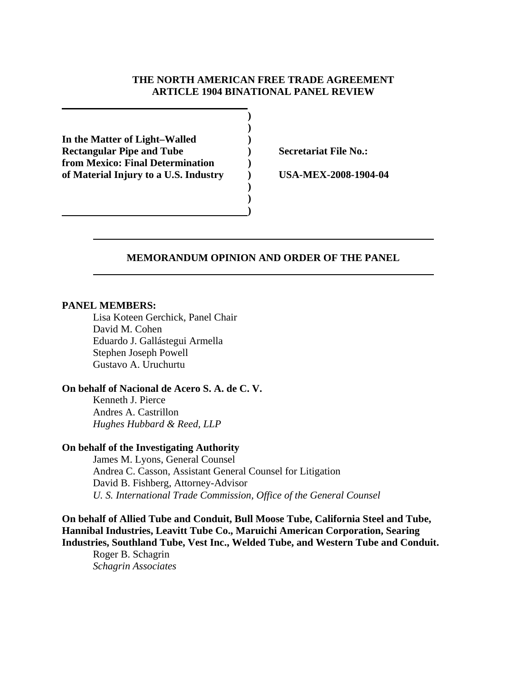## **THE NORTH AMERICAN FREE TRADE AGREEMENT ARTICLE 1904 BINATIONAL PANEL REVIEW**

 **) In the Matter of Light–Walled )**  Rectangular Pipe and Tube **)** Secretariat File No.: **from Mexico: Final Determination ) of Material Injury to a U.S. Industry ) USA-MEX-2008-1904-04** 

 **)** 

 **) ) 1 (a) (b) (b) (b) (b) (b) (c) (d)** 

### **MEMORANDUM OPINION AND ORDER OF THE PANEL**

### **PANEL MEMBERS:**

Lisa Koteen Gerchick, Panel Chair David M. Cohen Eduardo J. Gallástegui Armella Stephen Joseph Powell Gustavo A. Uruchurtu

## **On behalf of Nacional de Acero S. A. de C. V.**

Kenneth J. Pierce Andres A. Castrillon *Hughes Hubbard & Reed, LLP*

### **On behalf of the Investigating Authority**

James M. Lyons, General Counsel Andrea C. Casson, Assistant General Counsel for Litigation David B. Fishberg, Attorney-Advisor *U. S. International Trade Commission, Office of the General Counsel* 

**On behalf of Allied Tube and Conduit, Bull Moose Tube, California Steel and Tube, Hannibal Industries, Leavitt Tube Co., Maruichi American Corporation, Searing Industries, Southland Tube, Vest Inc., Welded Tube, and Western Tube and Conduit.** 

Roger B. Schagrin *Schagrin Associates*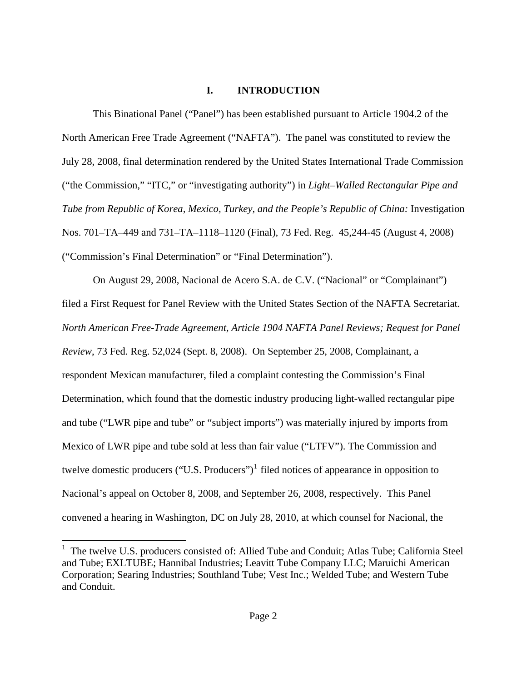## **I. INTRODUCTION**

This Binational Panel ("Panel") has been established pursuant to Article 1904.2 of the North American Free Trade Agreement ("NAFTA"). The panel was constituted to review the July 28, 2008, final determination rendered by the United States International Trade Commission ("the Commission," "ITC," or "investigating authority") in *Light–Walled Rectangular Pipe and Tube from Republic of Korea, Mexico, Turkey, and the People's Republic of China:* Investigation Nos. 701–TA–449 and 731–TA–1118–1120 (Final)*,* 73 Fed. Reg. 45,244-45 (August 4, 2008) ("Commission's Final Determination" or "Final Determination").

On August 29, 2008, Nacional de Acero S.A. de C.V. ("Nacional" or "Complainant") filed a First Request for Panel Review with the United States Section of the NAFTA Secretariat. *North American Free-Trade Agreement, Article 1904 NAFTA Panel Reviews; Request for Panel Review*, 73 Fed. Reg. 52,024 (Sept. 8, 2008). On September 25, 2008, Complainant, a respondent Mexican manufacturer, filed a complaint contesting the Commission's Final Determination, which found that the domestic industry producing light-walled rectangular pipe and tube ("LWR pipe and tube" or "subject imports") was materially injured by imports from Mexico of LWR pipe and tube sold at less than fair value ("LTFV"). The Commission and twelve domestic producers ("U.S. Producers") $<sup>1</sup>$  $<sup>1</sup>$  $<sup>1</sup>$  filed notices of appearance in opposition to</sup> Nacional's appeal on October 8, 2008, and September 26, 2008, respectively. This Panel convened a hearing in Washington, DC on July 28, 2010, at which counsel for Nacional, the

<span id="page-1-0"></span> 1 The twelve U.S. producers consisted of: Allied Tube and Conduit; Atlas Tube; California Steel and Tube; EXLTUBE; Hannibal Industries; Leavitt Tube Company LLC; Maruichi American Corporation; Searing Industries; Southland Tube; Vest Inc.; Welded Tube; and Western Tube and Conduit.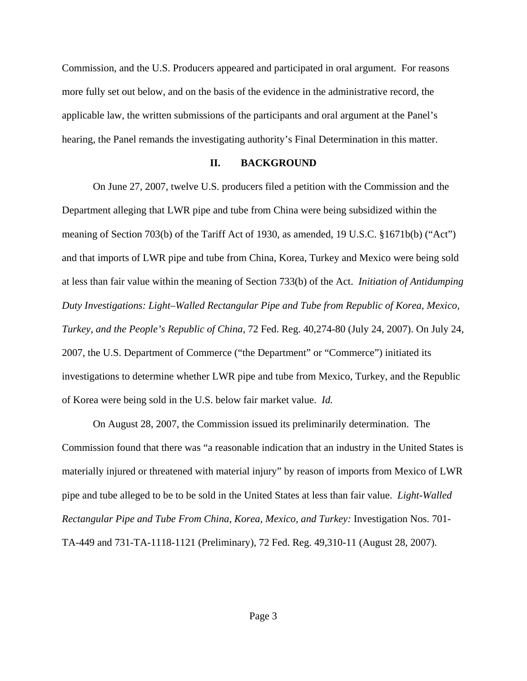Commission, and the U.S. Producers appeared and participated in oral argument. For reasons more fully set out below, and on the basis of the evidence in the administrative record, the applicable law, the written submissions of the participants and oral argument at the Panel's hearing, the Panel remands the investigating authority's Final Determination in this matter.

### **II. BACKGROUND**

On June 27, 2007, twelve U.S. producers filed a petition with the Commission and the Department alleging that LWR pipe and tube from China were being subsidized within the meaning of Section 703(b) of the Tariff Act of 1930, as amended, 19 U.S.C. §1671b(b) ("Act") and that imports of LWR pipe and tube from China, Korea, Turkey and Mexico were being sold at less than fair value within the meaning of Section 733(b) of the Act. *Initiation of Antidumping Duty Investigations: Light–Walled Rectangular Pipe and Tube from Republic of Korea, Mexico, Turkey, and the People's Republic of China*, 72 Fed. Reg. 40,274-80 (July 24, 2007). On July 24, 2007, the U.S. Department of Commerce ("the Department" or "Commerce") initiated its investigations to determine whether LWR pipe and tube from Mexico, Turkey, and the Republic of Korea were being sold in the U.S. below fair market value. *Id.*

On August 28, 2007, the Commission issued its preliminarily determination. The Commission found that there was "a reasonable indication that an industry in the United States is materially injured or threatened with material injury" by reason of imports from Mexico of LWR pipe and tube alleged to be to be sold in the United States at less than fair value. *Light-Walled Rectangular Pipe and Tube From China, Korea, Mexico, and Turkey:* Investigation Nos. 701- TA-449 and 731-TA-1118-1121 (Preliminary), 72 Fed. Reg. 49,310-11 (August 28, 2007).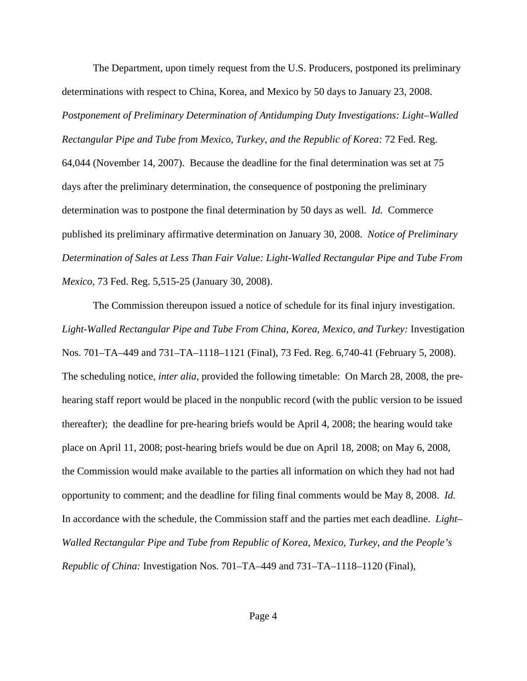The Department, upon timely request from the U.S. Producers, postponed its preliminary determinations with respect to China, Korea, and Mexico by 50 days to January 23, 2008. *Postponement of Preliminary Determination of Antidumping Duty Investigations: Light–Walled Rectangular Pipe and Tube from Mexico, Turkey, and the Republic of Korea:* 72 Fed. Reg. 64,044 (November 14, 2007). Because the deadline for the final determination was set at 75 days after the preliminary determination, the consequence of postponing the preliminary determination was to postpone the final determination by 50 days as well. *Id.* Commerce published its preliminary affirmative determination on January 30, 2008. *Notice of Preliminary Determination of Sales at Less Than Fair Value: Light-Walled Rectangular Pipe and Tube From Mexico*, 73 Fed. Reg. 5,515-25 (January 30, 2008).

The Commission thereupon issued a notice of schedule for its final injury investigation. *Light-Walled Rectangular Pipe and Tube From China, Korea, Mexico, and Turkey:* Investigation Nos. 701–TA–449 and 731–TA–1118–1121 (Final), 73 Fed. Reg. 6,740-41 (February 5, 2008). The scheduling notice, *inter alia*, provided the following timetable: On March 28, 2008, the prehearing staff report would be placed in the nonpublic record (with the public version to be issued thereafter); the deadline for pre-hearing briefs would be April 4, 2008; the hearing would take place on April 11, 2008; post-hearing briefs would be due on April 18, 2008; on May 6, 2008, the Commission would make available to the parties all information on which they had not had opportunity to comment; and the deadline for filing final comments would be May 8, 2008. *Id.* In accordance with the schedule, the Commission staff and the parties met each deadline. *Light– Walled Rectangular Pipe and Tube from Republic of Korea, Mexico, Turkey, and the People's Republic of China:* Investigation Nos. 701–TA–449 and 731–TA–1118–1120 (Final)*,*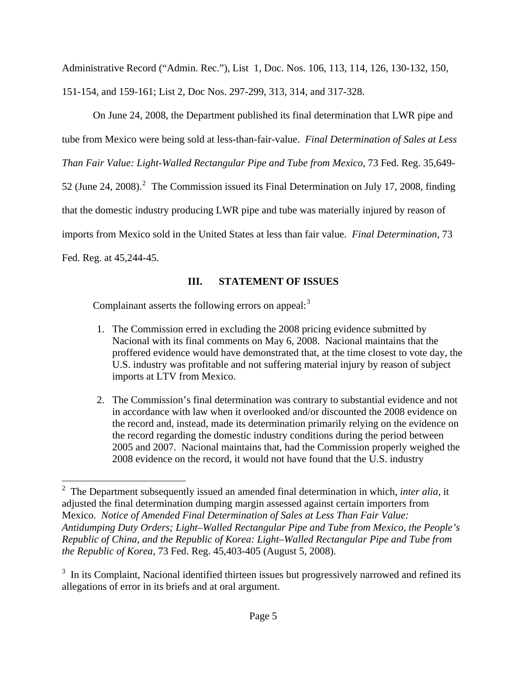Administrative Record ("Admin. Rec."), List 1, Doc. Nos. 106, 113, 114, 126, 130-132, 150, 151-154, and 159-161; List 2, Doc Nos. 297-299, 313, 314, and 317-328.

On June 24, 2008, the Department published its final determination that LWR pipe and tube from Mexico were being sold at less-than-fair-value. *Final Determination of Sales at Less Than Fair Value: Light-Walled Rectangular Pipe and Tube from Mexico*, 73 Fed. Reg. 35,649- 5[2](#page-4-0) (June 24, 2008).<sup>2</sup> The Commission issued its Final Determination on July 17, 2008, finding that the domestic industry producing LWR pipe and tube was materially injured by reason of imports from Mexico sold in the United States at less than fair value. *Final Determination*, 73 Fed. Reg. at 45,244-45.

# **III. STATEMENT OF ISSUES**

Complainant asserts the following errors on appeal: $3$ 

- 1. The Commission erred in excluding the 2008 pricing evidence submitted by Nacional with its final comments on May 6, 2008. Nacional maintains that the proffered evidence would have demonstrated that, at the time closest to vote day, the U.S. industry was profitable and not suffering material injury by reason of subject imports at LTV from Mexico.
- 2. The Commission's final determination was contrary to substantial evidence and not in accordance with law when it overlooked and/or discounted the 2008 evidence on the record and, instead, made its determination primarily relying on the evidence on the record regarding the domestic industry conditions during the period between 2005 and 2007. Nacional maintains that, had the Commission properly weighed the 2008 evidence on the record, it would not have found that the U.S. industry

<span id="page-4-0"></span> 2 The Department subsequently issued an amended final determination in which, *inter alia*, it adjusted the final determination dumping margin assessed against certain importers from Mexico. *Notice of Amended Final Determination of Sales at Less Than Fair Value: Antidumping Duty Orders; Light–Walled Rectangular Pipe and Tube from Mexico, the People's Republic of China, and the Republic of Korea: Light–Walled Rectangular Pipe and Tube from the Republic of Korea,* 73 Fed. Reg. 45,403-405 (August 5, 2008).

<span id="page-4-1"></span> $3\,$  In its Complaint, Nacional identified thirteen issues but progressively narrowed and refined its allegations of error in its briefs and at oral argument.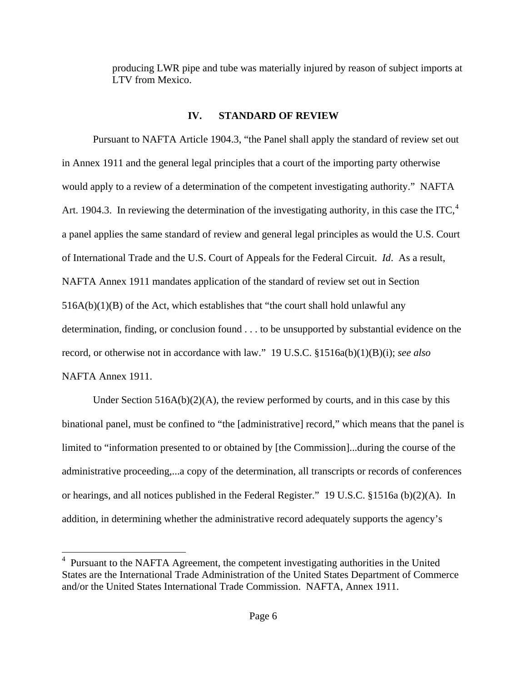producing LWR pipe and tube was materially injured by reason of subject imports at LTV from Mexico.

## **IV. STANDARD OF REVIEW**

Pursuant to NAFTA Article 1904.3, "the Panel shall apply the standard of review set out in Annex 1911 and the general legal principles that a court of the importing party otherwise would apply to a review of a determination of the competent investigating authority." NAFTA Art. 190[4](#page-5-0).3. In reviewing the determination of the investigating authority, in this case the ITC,<sup>4</sup> a panel applies the same standard of review and general legal principles as would the U.S. Court of International Trade and the U.S. Court of Appeals for the Federal Circuit. *Id*. As a result, NAFTA Annex 1911 mandates application of the standard of review set out in Section  $516A(b)(1)(B)$  of the Act, which establishes that "the court shall hold unlawful any determination, finding, or conclusion found . . . to be unsupported by substantial evidence on the record, or otherwise not in accordance with law." 19 U.S.C. §1516a(b)(1)(B)(i); *see also*  NAFTA Annex 1911.

Under Section  $516A(b)(2)(A)$ , the review performed by courts, and in this case by this binational panel, must be confined to "the [administrative] record," which means that the panel is limited to "information presented to or obtained by [the Commission]...during the course of the administrative proceeding,...a copy of the determination, all transcripts or records of conferences or hearings, and all notices published in the Federal Register." 19 U.S.C. §1516a (b)(2)(A). In addition, in determining whether the administrative record adequately supports the agency's

<span id="page-5-0"></span><sup>&</sup>lt;sup>4</sup> Pursuant to the NAFTA Agreement, the competent investigating authorities in the United States are the International Trade Administration of the United States Department of Commerce and/or the United States International Trade Commission. NAFTA, Annex 1911.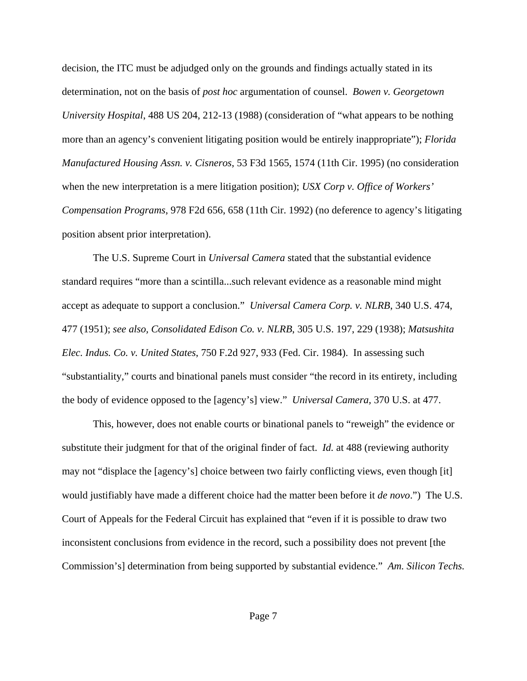decision, the ITC must be adjudged only on the grounds and findings actually stated in its determination, not on the basis of *post hoc* argumentation of counsel. *Bowen v. Georgetown University Hospital*, 488 US 204, 212-13 (1988) (consideration of "what appears to be nothing more than an agency's convenient litigating position would be entirely inappropriate"); *Florida Manufactured Housing Assn. v. Cisneros*, 53 F3d 1565, 1574 (11th Cir. 1995) (no consideration when the new interpretation is a mere litigation position); *USX Corp v. Office of Workers' Compensation Programs*, 978 F2d 656, 658 (11th Cir. 1992) (no deference to agency's litigating position absent prior interpretation).

The U.S. Supreme Court in *Universal Camera* stated that the substantial evidence standard requires "more than a scintilla...such relevant evidence as a reasonable mind might accept as adequate to support a conclusion." *Universal Camera Corp. v. NLRB*, 340 U.S. 474, 477 (1951); *see also, Consolidated Edison Co. v. NLRB*, 305 U.S. 197, 229 (1938); *Matsushita Elec. Indus. Co. v. United States*, 750 F.2d 927, 933 (Fed. Cir. 1984). In assessing such "substantiality," courts and binational panels must consider "the record in its entirety, including the body of evidence opposed to the [agency's] view." *Universal Camera,* 370 U.S. at 477.

This, however, does not enable courts or binational panels to "reweigh" the evidence or substitute their judgment for that of the original finder of fact. *Id.* at 488 (reviewing authority may not "displace the [agency's] choice between two fairly conflicting views, even though [it] would justifiably have made a different choice had the matter been before it *de novo*.") The U.S. Court of Appeals for the Federal Circuit has explained that "even if it is possible to draw two inconsistent conclusions from evidence in the record, such a possibility does not prevent [the Commission's] determination from being supported by substantial evidence." *Am. Silicon Techs.*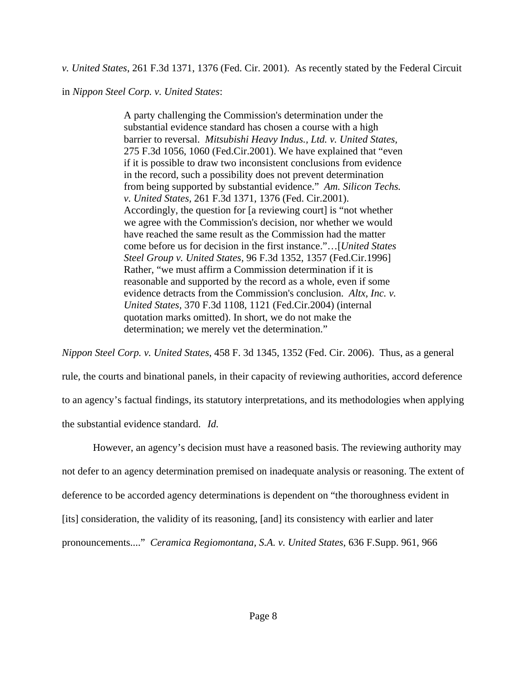*v. United States*, 261 F.3d 1371, 1376 (Fed. Cir. 2001). As recently stated by the Federal Circuit

in *Nippon Steel Corp. v. United States*:

A party challenging the Commission's determination under the substantial evidence standard has chosen a course with a high barrier to reversal. *Mitsubishi Heavy Indus., Ltd. v. United States,* 275 F.3d 1056, 1060 (Fed.Cir.2001). We have explained that "even if it is possible to draw two inconsistent conclusions from evidence in the record, such a possibility does not prevent determination from being supported by substantial evidence." *Am. Silicon Techs. v. United States,* 261 F.3d 1371, 1376 (Fed. Cir.2001). Accordingly, the question for [a reviewing court] is "not whether we agree with the Commission's decision, nor whether we would have reached the same result as the Commission had the matter come before us for decision in the first instance."…[*United States Steel Group v. United States,* 96 F.3d 1352, 1357 (Fed.Cir.1996] Rather, "we must affirm a Commission determination if it is reasonable and supported by the record as a whole, even if some evidence detracts from the Commission's conclusion. *Altx, Inc. v. United States,* 370 F.3d 1108, 1121 (Fed.Cir.2004) (internal quotation marks omitted). In short, we do not make the determination; we merely vet the determination."

*Nippon Steel Corp. v. United States*, 458 F. 3d 1345, 1352 (Fed. Cir. 2006). Thus, as a general rule, the courts and binational panels, in their capacity of reviewing authorities, accord deference to an agency's factual findings, its statutory interpretations, and its methodologies when applying

the substantial evidence standard. *Id.* 

However, an agency's decision must have a reasoned basis. The reviewing authority may not defer to an agency determination premised on inadequate analysis or reasoning. The extent of deference to be accorded agency determinations is dependent on "the thoroughness evident in [its] consideration, the validity of its reasoning, [and] its consistency with earlier and later pronouncements...." *Ceramica Regiomontana, S.A. v. United States*, 636 F.Supp. 961, 966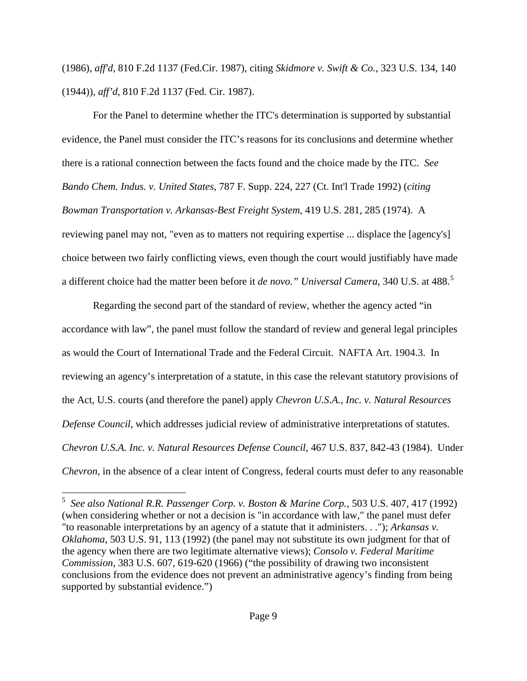(1986), *aff'd*, 810 F.2d 1137 (Fed.Cir. 1987), citing *Skidmore v. Swift & Co.*, 323 U.S. 134, 140 (1944)), *aff'd*, 810 F.2d 1137 (Fed. Cir. 1987).

For the Panel to determine whether the ITC's determination is supported by substantial evidence, the Panel must consider the ITC's reasons for its conclusions and determine whether there is a rational connection between the facts found and the choice made by the ITC. *See Bando Chem. Indus. v. United States*, 787 F. Supp. 224, 227 (Ct. Int'l Trade 1992) (*citing Bowman Transportation v. Arkansas-Best Freight System*, 419 U.S. 281, 285 (1974). A reviewing panel may not, "even as to matters not requiring expertise ... displace the [agency's] choice between two fairly conflicting views, even though the court would justifiably have made a different choice had the matter been before it *de novo." Universal Camera*, 340 U.S. at 488.[5](#page-8-0)

Regarding the second part of the standard of review, whether the agency acted "in accordance with law", the panel must follow the standard of review and general legal principles as would the Court of International Trade and the Federal Circuit. NAFTA Art. 1904.3. In reviewing an agency's interpretation of a statute, in this case the relevant statutory provisions of the Act, U.S. courts (and therefore the panel) apply *Chevron U.S.A., Inc. v. Natural Resources Defense Council*, which addresses judicial review of administrative interpretations of statutes. *Chevron U.S.A. Inc. v. Natural Resources Defense Council*, 467 U.S. 837, 842-43 (1984). Under *Chevron*, in the absence of a clear intent of Congress, federal courts must defer to any reasonable

<span id="page-8-0"></span> 5 *See also National R.R. Passenger Corp. v. Boston & Marine Corp.*, 503 U.S. 407, 417 (1992) (when considering whether or not a decision is "in accordance with law," the panel must defer "to reasonable interpretations by an agency of a statute that it administers. . ."); *Arkansas v. Oklahoma*, 503 U.S. 91, 113 (1992) (the panel may not substitute its own judgment for that of the agency when there are two legitimate alternative views); *Consolo v. Federal Maritime Commission*, 383 U.S. 607, 619-620 (1966) ("the possibility of drawing two inconsistent conclusions from the evidence does not prevent an administrative agency's finding from being supported by substantial evidence.")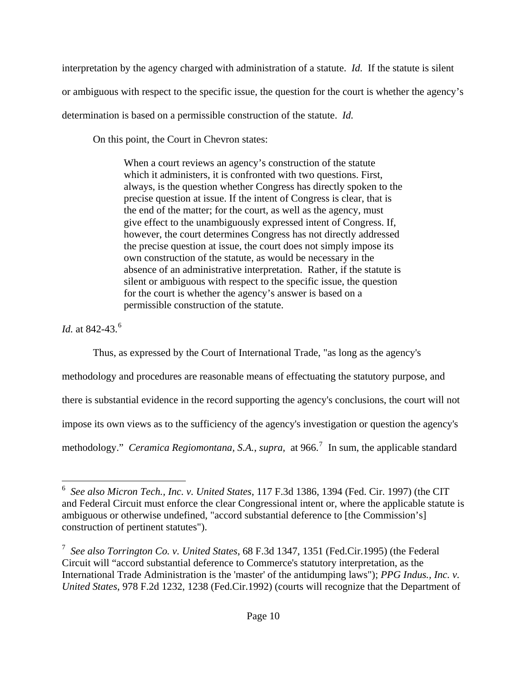interpretation by the agency charged with administration of a statute. *Id.* If the statute is silent or ambiguous with respect to the specific issue, the question for the court is whether the agency's determination is based on a permissible construction of the statute. *Id.*

On this point, the Court in Chevron states:

When a court reviews an agency's construction of the statute which it administers, it is confronted with two questions. First, always, is the question whether Congress has directly spoken to the precise question at issue. If the intent of Congress is clear, that is the end of the matter; for the court, as well as the agency, must give effect to the unambiguously expressed intent of Congress. If, however, the court determines Congress has not directly addressed the precise question at issue, the court does not simply impose its own construction of the statute, as would be necessary in the absence of an administrative interpretation. Rather, if the statute is silent or ambiguous with respect to the specific issue, the question for the court is whether the agency's answer is based on a permissible construction of the statute.

*Id.* at 842-43.<sup>[6](#page-9-0)</sup>

Thus, as expressed by the Court of International Trade, "as long as the agency's

methodology and procedures are reasonable means of effectuating the statutory purpose, and

there is substantial evidence in the record supporting the agency's conclusions, the court will not

impose its own views as to the sufficiency of the agency's investigation or question the agency's

methodology." *Ceramica Regiomontana, S.A., supra, at* 966.<sup>[7](#page-9-1)</sup> In sum, the applicable standard

<span id="page-9-0"></span> 6 *See also Micron Tech., Inc. v. United States*, 117 F.3d 1386, 1394 (Fed. Cir. 1997) (the CIT and Federal Circuit must enforce the clear Congressional intent or, where the applicable statute is ambiguous or otherwise undefined, "accord substantial deference to [the Commission's] construction of pertinent statutes").

<span id="page-9-1"></span><sup>7</sup> *See also Torrington Co. v. United States*, [68 F.3d 1347,](http://openjurist.org/68/f3d/1347) 1351 (Fed.Cir.1995) (the Federal Circuit will "accord substantial deference to Commerce's statutory interpretation, as the International Trade Administration is the 'master' of the antidumping laws"); *PPG Indus., Inc. v. United States*, [978 F.2d 1232,](http://openjurist.org/978/f2d/1232) 1238 (Fed.Cir.1992) (courts will recognize that the Department of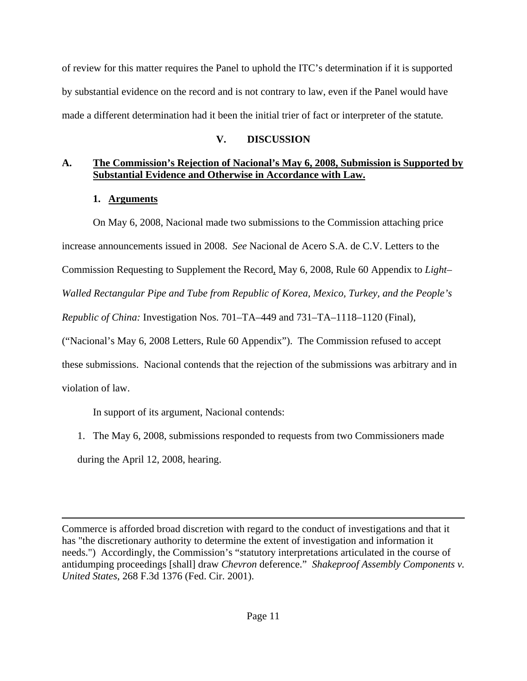of review for this matter requires the Panel to uphold the ITC's determination if it is supported by substantial evidence on the record and is not contrary to law, even if the Panel would have made a different determination had it been the initial trier of fact or interpreter of the statute*.*

# **V. DISCUSSION**

# **A. The Commission's Rejection of Nacional's May 6, 2008, Submission is Supported by Substantial Evidence and Otherwise in Accordance with Law.**

# **1. Arguments**

 On May 6, 2008, Nacional made two submissions to the Commission attaching price increase announcements issued in 2008. *See* Nacional de Acero S.A. de C.V. Letters to the Commission Requesting to Supplement the Record, May 6, 2008, Rule 60 Appendix to *Light– Walled Rectangular Pipe and Tube from Republic of Korea, Mexico, Turkey, and the People's Republic of China:* Investigation Nos. 701–TA–449 and 731–TA–1118–1120 (Final), ("Nacional's May 6, 2008 Letters, Rule 60 Appendix"). The Commission refused to accept these submissions. Nacional contends that the rejection of the submissions was arbitrary and in violation of law.

In support of its argument, Nacional contends:

1. The May 6, 2008, submissions responded to requests from two Commissioners made during the April 12, 2008, hearing.

Commerce is afforded broad discretion with regard to the conduct of investigations and that it has "the discretionary authority to determine the extent of investigation and information it needs.") Accordingly, the Commission's "statutory interpretations articulated in the course of antidumping proceedings [shall] draw *Chevron* deference." *Shakeproof Assembly Components v. United States*, 268 F.3d 1376 (Fed. Cir. 2001).

<u> 1989 - Johann Stoff, amerikansk politiker (d. 1989)</u>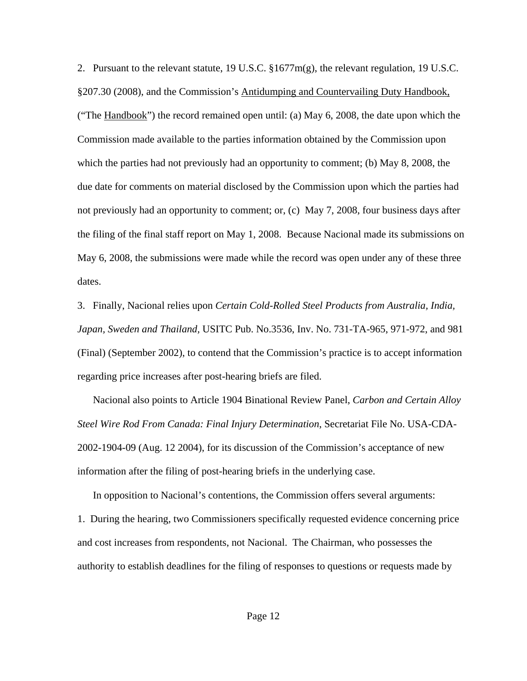2. Pursuant to the relevant statute, 19 U.S.C.  $\S 1677m(g)$ , the relevant regulation, 19 U.S.C. §207.30 (2008), and the Commission's Antidumping and Countervailing Duty Handbook, ("The Handbook") the record remained open until: (a) May 6, 2008, the date upon which the Commission made available to the parties information obtained by the Commission upon which the parties had not previously had an opportunity to comment; (b) May 8, 2008, the due date for comments on material disclosed by the Commission upon which the parties had not previously had an opportunity to comment; or, (c) May 7, 2008, four business days after the filing of the final staff report on May 1, 2008. Because Nacional made its submissions on May 6, 2008, the submissions were made while the record was open under any of these three dates.

3. Finally, Nacional relies upon *Certain Cold-Rolled Steel Products from Australia, India, Japan, Sweden and Thailand,* USITC Pub. No.3536, Inv. No. 731-TA-965, 971-972, and 981 (Final) (September 2002), to contend that the Commission's practice is to accept information regarding price increases after post-hearing briefs are filed.

 Nacional also points to Article 1904 Binational Review Panel, *Carbon and Certain Alloy Steel Wire Rod From Canada: Final Injury Determination*, Secretariat File No. USA-CDA-2002-1904-09 (Aug. 12 2004), for its discussion of the Commission's acceptance of new information after the filing of post-hearing briefs in the underlying case.

In opposition to Nacional's contentions, the Commission offers several arguments: 1. During the hearing, two Commissioners specifically requested evidence concerning price and cost increases from respondents, not Nacional. The Chairman, who possesses the authority to establish deadlines for the filing of responses to questions or requests made by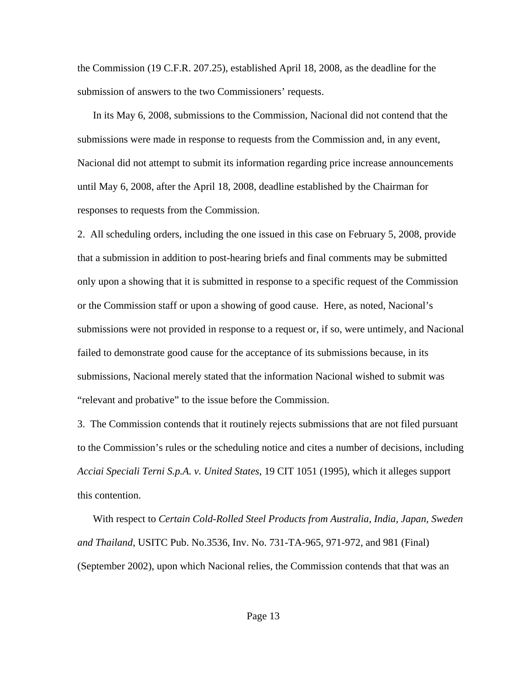the Commission (19 C.F.R. 207.25), established April 18, 2008, as the deadline for the submission of answers to the two Commissioners' requests.

 In its May 6, 2008, submissions to the Commission, Nacional did not contend that the submissions were made in response to requests from the Commission and, in any event, Nacional did not attempt to submit its information regarding price increase announcements until May 6, 2008, after the April 18, 2008, deadline established by the Chairman for responses to requests from the Commission.

2. All scheduling orders, including the one issued in this case on February 5, 2008, provide that a submission in addition to post-hearing briefs and final comments may be submitted only upon a showing that it is submitted in response to a specific request of the Commission or the Commission staff or upon a showing of good cause. Here, as noted, Nacional's submissions were not provided in response to a request or, if so, were untimely, and Nacional failed to demonstrate good cause for the acceptance of its submissions because, in its submissions, Nacional merely stated that the information Nacional wished to submit was "relevant and probative" to the issue before the Commission.

3. The Commission contends that it routinely rejects submissions that are not filed pursuant to the Commission's rules or the scheduling notice and cites a number of decisions, including *Acciai Speciali Terni S.p.A. v. United States*, 19 CIT 1051 (1995), which it alleges support this contention.

 With respect to *Certain Cold-Rolled Steel Products from Australia, India, Japan, Sweden and Thailand*, USITC Pub. No.3536, Inv. No. 731-TA-965, 971-972, and 981 (Final) (September 2002), upon which Nacional relies, the Commission contends that that was an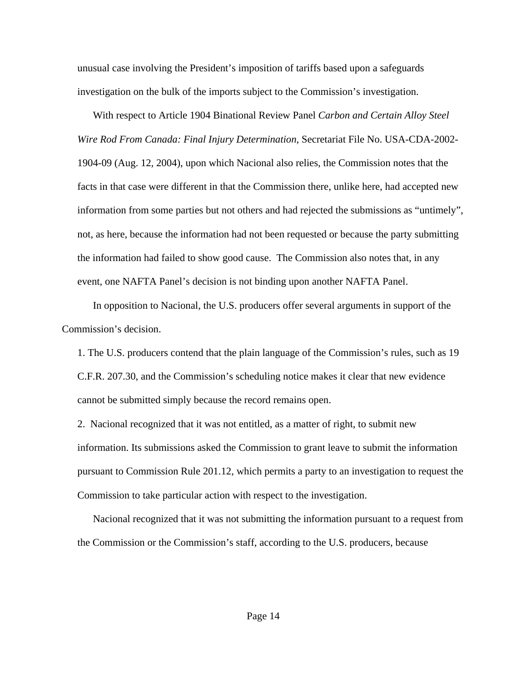unusual case involving the President's imposition of tariffs based upon a safeguards investigation on the bulk of the imports subject to the Commission's investigation.

 With respect to Article 1904 Binational Review Panel *Carbon and Certain Alloy Steel Wire Rod From Canada: Final Injury Determination,* Secretariat File No. USA-CDA-2002- 1904-09 (Aug. 12, 2004), upon which Nacional also relies, the Commission notes that the facts in that case were different in that the Commission there, unlike here, had accepted new information from some parties but not others and had rejected the submissions as "untimely", not, as here, because the information had not been requested or because the party submitting the information had failed to show good cause. The Commission also notes that, in any event, one NAFTA Panel's decision is not binding upon another NAFTA Panel.

In opposition to Nacional, the U.S. producers offer several arguments in support of the Commission's decision.

1. The U.S. producers contend that the plain language of the Commission's rules, such as 19 C.F.R. 207.30, and the Commission's scheduling notice makes it clear that new evidence cannot be submitted simply because the record remains open.

2. Nacional recognized that it was not entitled, as a matter of right, to submit new information. Its submissions asked the Commission to grant leave to submit the information pursuant to Commission Rule 201.12, which permits a party to an investigation to request the Commission to take particular action with respect to the investigation.

 Nacional recognized that it was not submitting the information pursuant to a request from the Commission or the Commission's staff, according to the U.S. producers, because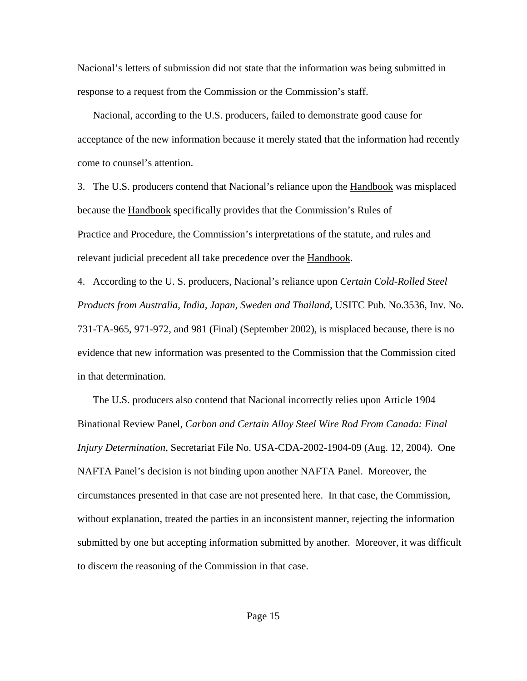Nacional's letters of submission did not state that the information was being submitted in response to a request from the Commission or the Commission's staff.

 Nacional, according to the U.S. producers, failed to demonstrate good cause for acceptance of the new information because it merely stated that the information had recently come to counsel's attention.

3. The U.S. producers contend that Nacional's reliance upon the **Handbook** was misplaced because the Handbook specifically provides that the Commission's Rules of Practice and Procedure, the Commission's interpretations of the statute, and rules and relevant judicial precedent all take precedence over the Handbook.

4. According to the U. S. producers, Nacional's reliance upon *Certain Cold-Rolled Steel Products from Australia, India, Japan, Sweden and Thailand*, USITC Pub. No.3536, Inv. No. 731-TA-965, 971-972, and 981 (Final) (September 2002), is misplaced because, there is no evidence that new information was presented to the Commission that the Commission cited in that determination.

 The U.S. producers also contend that Nacional incorrectly relies upon Article 1904 Binational Review Panel, *Carbon and Certain Alloy Steel Wire Rod From Canada: Final Injury Determination*, Secretariat File No. USA-CDA-2002-1904-09 (Aug. 12, 2004). One NAFTA Panel's decision is not binding upon another NAFTA Panel. Moreover, the circumstances presented in that case are not presented here. In that case, the Commission, without explanation, treated the parties in an inconsistent manner, rejecting the information submitted by one but accepting information submitted by another. Moreover, it was difficult to discern the reasoning of the Commission in that case.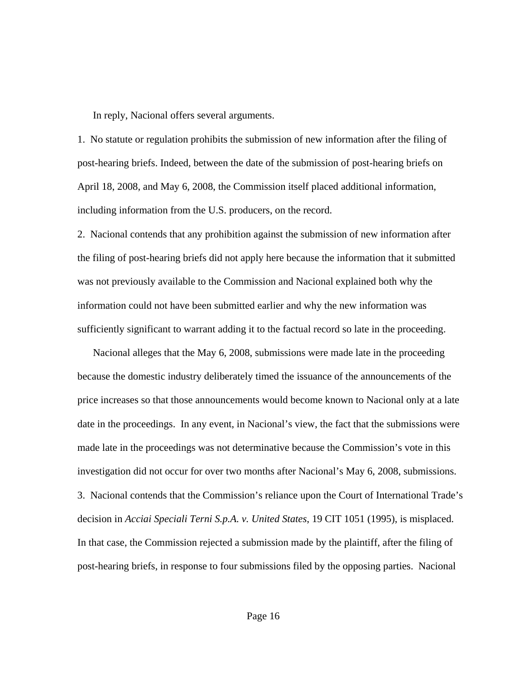In reply, Nacional offers several arguments.

1. No statute or regulation prohibits the submission of new information after the filing of post-hearing briefs. Indeed, between the date of the submission of post-hearing briefs on April 18, 2008, and May 6, 2008, the Commission itself placed additional information, including information from the U.S. producers, on the record.

2. Nacional contends that any prohibition against the submission of new information after the filing of post-hearing briefs did not apply here because the information that it submitted was not previously available to the Commission and Nacional explained both why the information could not have been submitted earlier and why the new information was sufficiently significant to warrant adding it to the factual record so late in the proceeding.

 Nacional alleges that the May 6, 2008, submissions were made late in the proceeding because the domestic industry deliberately timed the issuance of the announcements of the price increases so that those announcements would become known to Nacional only at a late date in the proceedings. In any event, in Nacional's view, the fact that the submissions were made late in the proceedings was not determinative because the Commission's vote in this investigation did not occur for over two months after Nacional's May 6, 2008, submissions. 3. Nacional contends that the Commission's reliance upon the Court of International Trade's decision in *Acciai Speciali Terni S.p.A. v. United States*, 19 CIT 1051 (1995), is misplaced. In that case, the Commission rejected a submission made by the plaintiff, after the filing of post-hearing briefs, in response to four submissions filed by the opposing parties. Nacional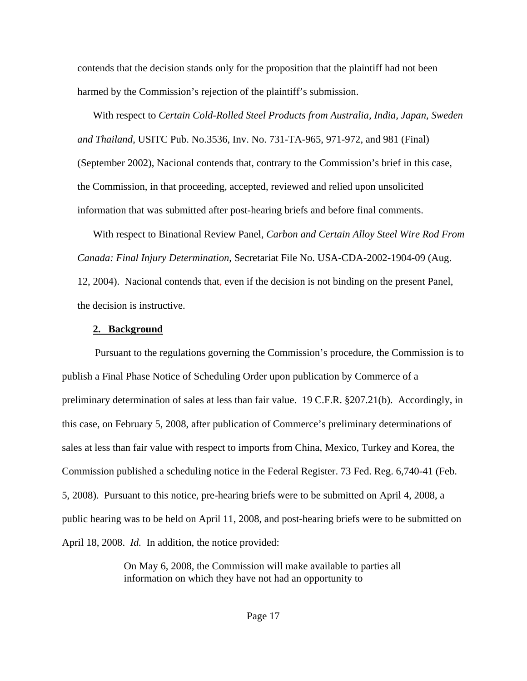contends that the decision stands only for the proposition that the plaintiff had not been harmed by the Commission's rejection of the plaintiff's submission.

 With respect to *Certain Cold-Rolled Steel Products from Australia, India, Japan, Sweden and Thailand*, USITC Pub. No.3536, Inv. No. 731-TA-965, 971-972, and 981 (Final) (September 2002), Nacional contends that, contrary to the Commission's brief in this case, the Commission, in that proceeding, accepted, reviewed and relied upon unsolicited information that was submitted after post-hearing briefs and before final comments.

With respect to Binational Review Panel, *Carbon and Certain Alloy Steel Wire Rod From Canada: Final Injury Determination*, Secretariat File No. USA-CDA-2002-1904-09 (Aug.

12, 2004). Nacional contends that, even if the decision is not binding on the present Panel, the decision is instructive.

### **2. Background**

Pursuant to the regulations governing the Commission's procedure, the Commission is to publish a Final Phase Notice of Scheduling Order upon publication by Commerce of a preliminary determination of sales at less than fair value. 19 C.F.R. §207.21(b). Accordingly, in this case, on February 5, 2008, after publication of Commerce's preliminary determinations of sales at less than fair value with respect to imports from China, Mexico, Turkey and Korea, the Commission published a scheduling notice in the Federal Register. 73 Fed. Reg. 6,740-41 (Feb. 5, 2008). Pursuant to this notice, pre-hearing briefs were to be submitted on April 4, 2008, a public hearing was to be held on April 11, 2008, and post-hearing briefs were to be submitted on April 18, 2008. *Id.* In addition, the notice provided:

> On May 6, 2008, the Commission will make available to parties all information on which they have not had an opportunity to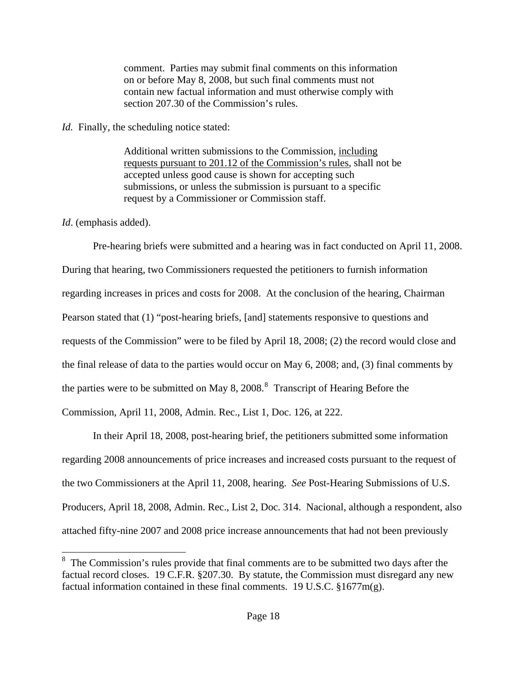comment. Parties may submit final comments on this information on or before May 8, 2008, but such final comments must not contain new factual information and must otherwise comply with section 207.30 of the Commission's rules.

## *Id.* Finally, the scheduling notice stated:

Additional written submissions to the Commission, including requests pursuant to 201.12 of the Commission's rules, shall not be accepted unless good cause is shown for accepting such submissions, or unless the submission is pursuant to a specific request by a Commissioner or Commission staff.

*Id*. (emphasis added).

 Pre-hearing briefs were submitted and a hearing was in fact conducted on April 11, 2008. During that hearing, two Commissioners requested the petitioners to furnish information regarding increases in prices and costs for 2008. At the conclusion of the hearing, Chairman Pearson stated that (1) "post-hearing briefs, [and] statements responsive to questions and requests of the Commission" were to be filed by April 18, 2008; (2) the record would close and the final release of data to the parties would occur on May 6, 2008; and, (3) final comments by the parties were to be submitted on May [8](#page-17-0), 2008. $^8$  Transcript of Hearing Before the Commission, April 11, 2008, Admin. Rec., List 1, Doc. 126, at 222.

 In their April 18, 2008, post-hearing brief, the petitioners submitted some information regarding 2008 announcements of price increases and increased costs pursuant to the request of the two Commissioners at the April 11, 2008, hearing. *See* Post-Hearing Submissions of U.S. Producers*,* April 18, 2008, Admin. Rec., List 2, Doc. 314. Nacional, although a respondent, also attached fifty-nine 2007 and 2008 price increase announcements that had not been previously

<span id="page-17-0"></span>  $8\text{ The Commission's rules provide that final comments are to be submitted two days after the$ factual record closes. 19 C.F.R. §207.30. By statute, the Commission must disregard any new factual information contained in these final comments. 19 U.S.C. §1677m(g).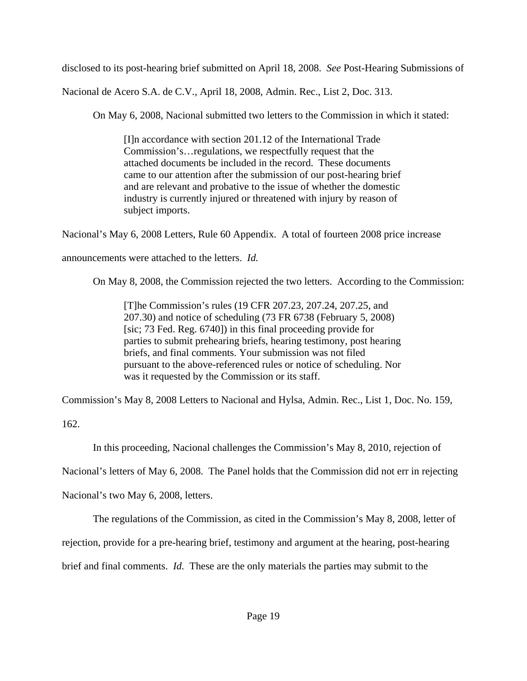disclosed to its post-hearing brief submitted on April 18, 2008. *See* Post-Hearing Submissions of

Nacional de Acero S.A. de C.V.*,* April 18, 2008, Admin. Rec., List 2, Doc. 313.

On May 6, 2008, Nacional submitted two letters to the Commission in which it stated:

[I]n accordance with section 201.12 of the International Trade Commission's…regulations, we respectfully request that the attached documents be included in the record. These documents came to our attention after the submission of our post-hearing brief and are relevant and probative to the issue of whether the domestic industry is currently injured or threatened with injury by reason of subject imports.

Nacional's May 6, 2008 Letters, Rule 60 Appendix. A total of fourteen 2008 price increase

announcements were attached to the letters. *Id.* 

On May 8, 2008, the Commission rejected the two letters. According to the Commission:

[T]he Commission's rules (19 CFR 207.23, 207.24, 207.25, and 207.30) and notice of scheduling (73 FR 6738 (February 5, 2008) [sic; 73 Fed. Reg. 6740]) in this final proceeding provide for parties to submit prehearing briefs, hearing testimony, post hearing briefs, and final comments. Your submission was not filed pursuant to the above-referenced rules or notice of scheduling. Nor was it requested by the Commission or its staff.

Commission's May 8, 2008 Letters to Nacional and Hylsa, Admin. Rec., List 1, Doc. No. 159,

162.

In this proceeding, Nacional challenges the Commission's May 8, 2010, rejection of

Nacional's letters of May 6, 2008. The Panel holds that the Commission did not err in rejecting

Nacional's two May 6, 2008, letters.

The regulations of the Commission, as cited in the Commission's May 8, 2008, letter of

rejection, provide for a pre-hearing brief, testimony and argument at the hearing, post-hearing

brief and final comments. *Id.* These are the only materials the parties may submit to the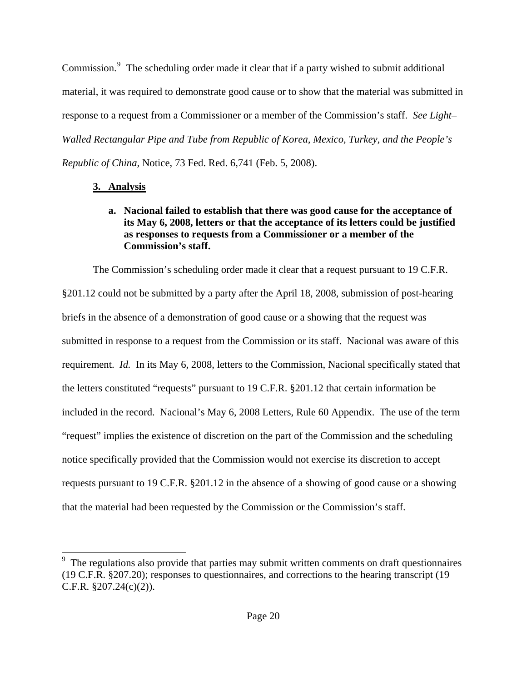Commission.<sup>[9](#page-19-0)</sup> The scheduling order made it clear that if a party wished to submit additional material, it was required to demonstrate good cause or to show that the material was submitted in response to a request from a Commissioner or a member of the Commission's staff. *See Light– Walled Rectangular Pipe and Tube from Republic of Korea, Mexico, Turkey, and the People's Republic of China,* Notice, 73 Fed. Red. 6,741 (Feb. 5, 2008).

## **3. Analysis**

## **a. Nacional failed to establish that there was good cause for the acceptance of its May 6, 2008, letters or that the acceptance of its letters could be justified as responses to requests from a Commissioner or a member of the Commission's staff.**

The Commission's scheduling order made it clear that a request pursuant to 19 C.F.R. §201.12 could not be submitted by a party after the April 18, 2008, submission of post-hearing briefs in the absence of a demonstration of good cause or a showing that the request was submitted in response to a request from the Commission or its staff. Nacional was aware of this requirement. *Id.* In its May 6, 2008, letters to the Commission, Nacional specifically stated that the letters constituted "requests" pursuant to 19 C.F.R. §201.12 that certain information be included in the record. Nacional's May 6, 2008 Letters, Rule 60 Appendix. The use of the term "request" implies the existence of discretion on the part of the Commission and the scheduling notice specifically provided that the Commission would not exercise its discretion to accept requests pursuant to 19 C.F.R. §201.12 in the absence of a showing of good cause or a showing that the material had been requested by the Commission or the Commission's staff.

<span id="page-19-0"></span><sup>&</sup>lt;sup>9</sup> The regulations also provide that parties may submit written comments on draft questionnaires (19 C.F.R. §207.20); responses to questionnaires, and corrections to the hearing transcript (19 C.F.R. §207.24(c)(2)).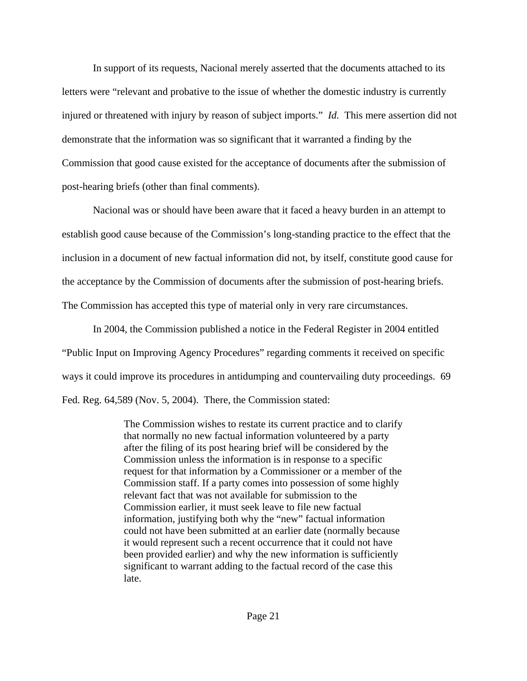In support of its requests, Nacional merely asserted that the documents attached to its letters were "relevant and probative to the issue of whether the domestic industry is currently injured or threatened with injury by reason of subject imports." *Id.* This mere assertion did not demonstrate that the information was so significant that it warranted a finding by the Commission that good cause existed for the acceptance of documents after the submission of post-hearing briefs (other than final comments).

 Nacional was or should have been aware that it faced a heavy burden in an attempt to establish good cause because of the Commission's long-standing practice to the effect that the inclusion in a document of new factual information did not, by itself, constitute good cause for the acceptance by the Commission of documents after the submission of post-hearing briefs. The Commission has accepted this type of material only in very rare circumstances.

 In 2004, the Commission published a notice in the Federal Register in 2004 entitled "Public Input on Improving Agency Procedures" regarding comments it received on specific ways it could improve its procedures in antidumping and countervailing duty proceedings. 69 Fed. Reg. 64,589 (Nov. 5, 2004). There, the Commission stated:

> The Commission wishes to restate its current practice and to clarify that normally no new factual information volunteered by a party after the filing of its post hearing brief will be considered by the Commission unless the information is in response to a specific request for that information by a Commissioner or a member of the Commission staff. If a party comes into possession of some highly relevant fact that was not available for submission to the Commission earlier, it must seek leave to file new factual information, justifying both why the "new" factual information could not have been submitted at an earlier date (normally because it would represent such a recent occurrence that it could not have been provided earlier) and why the new information is sufficiently significant to warrant adding to the factual record of the case this late.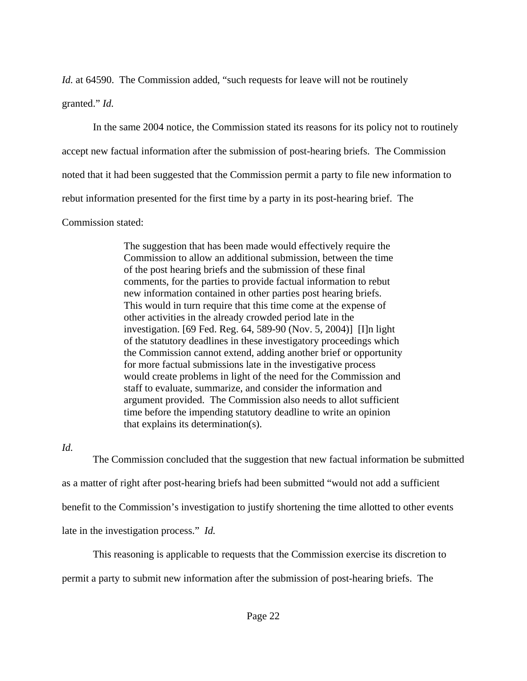*Id.* at 64590. The Commission added, "such requests for leave will not be routinely

granted." *Id.*

 In the same 2004 notice, the Commission stated its reasons for its policy not to routinely accept new factual information after the submission of post-hearing briefs. The Commission noted that it had been suggested that the Commission permit a party to file new information to rebut information presented for the first time by a party in its post-hearing brief. The Commission stated:

> The suggestion that has been made would effectively require the Commission to allow an additional submission, between the time of the post hearing briefs and the submission of these final comments, for the parties to provide factual information to rebut new information contained in other parties post hearing briefs. This would in turn require that this time come at the expense of other activities in the already crowded period late in the investigation. [69 Fed. Reg. 64, 589-90 (Nov. 5, 2004)] [I]n light of the statutory deadlines in these investigatory proceedings which the Commission cannot extend, adding another brief or opportunity for more factual submissions late in the investigative process would create problems in light of the need for the Commission and staff to evaluate, summarize, and consider the information and argument provided. The Commission also needs to allot sufficient time before the impending statutory deadline to write an opinion that explains its determination(s).

*Id.*

 The Commission concluded that the suggestion that new factual information be submitted as a matter of right after post-hearing briefs had been submitted "would not add a sufficient benefit to the Commission's investigation to justify shortening the time allotted to other events late in the investigation process." *Id.*

 This reasoning is applicable to requests that the Commission exercise its discretion to permit a party to submit new information after the submission of post-hearing briefs. The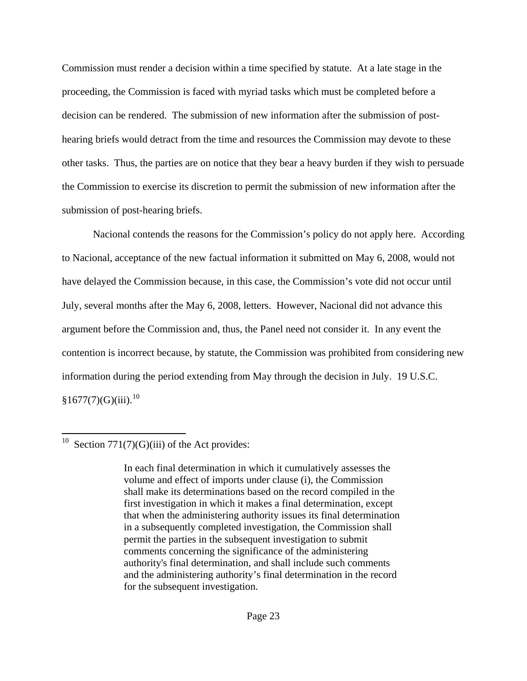Commission must render a decision within a time specified by statute. At a late stage in the proceeding, the Commission is faced with myriad tasks which must be completed before a decision can be rendered. The submission of new information after the submission of posthearing briefs would detract from the time and resources the Commission may devote to these other tasks. Thus, the parties are on notice that they bear a heavy burden if they wish to persuade the Commission to exercise its discretion to permit the submission of new information after the submission of post-hearing briefs.

 Nacional contends the reasons for the Commission's policy do not apply here. According to Nacional, acceptance of the new factual information it submitted on May 6, 2008, would not have delayed the Commission because, in this case, the Commission's vote did not occur until July, several months after the May 6, 2008, letters. However, Nacional did not advance this argument before the Commission and, thus, the Panel need not consider it. In any event the contention is incorrect because, by statute, the Commission was prohibited from considering new information during the period extending from May through the decision in July. 19 U.S.C.  $§1677(7)(G)(iii).$ <sup>[10](#page-22-0)</sup>

<span id="page-22-0"></span><sup>&</sup>lt;sup>10</sup> Section 771(7)(G)(iii) of the Act provides:

In each final determination in which it cumulatively assesses the volume and effect of imports under clause (i), the Commission shall make its determinations based on the record compiled in the first investigation in which it makes a final determination, except that when the administering authority issues its final determination in a subsequently completed investigation, the Commission shall permit the parties in the subsequent investigation to submit comments concerning the significance of the administering authority's final determination, and shall include such comments and the administering authority's final determination in the record for the subsequent investigation.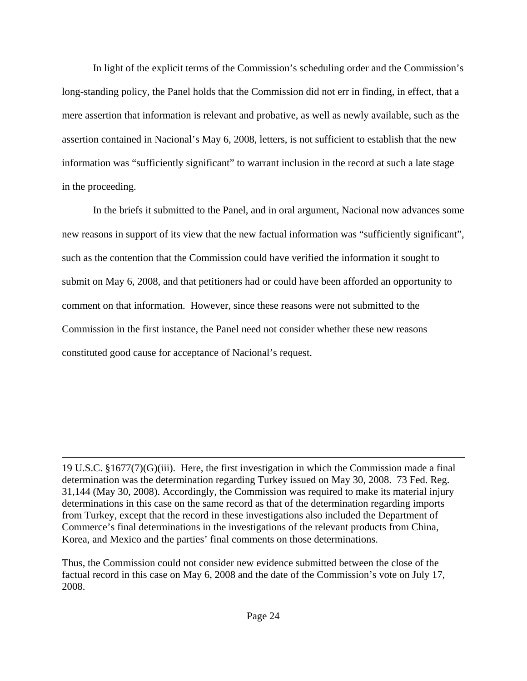In light of the explicit terms of the Commission's scheduling order and the Commission's long-standing policy, the Panel holds that the Commission did not err in finding, in effect, that a mere assertion that information is relevant and probative, as well as newly available, such as the assertion contained in Nacional's May 6, 2008, letters, is not sufficient to establish that the new information was "sufficiently significant" to warrant inclusion in the record at such a late stage in the proceeding.

 In the briefs it submitted to the Panel, and in oral argument, Nacional now advances some new reasons in support of its view that the new factual information was "sufficiently significant", such as the contention that the Commission could have verified the information it sought to submit on May 6, 2008, and that petitioners had or could have been afforded an opportunity to comment on that information. However, since these reasons were not submitted to the Commission in the first instance, the Panel need not consider whether these new reasons constituted good cause for acceptance of Nacional's request.

19 U.S.C. §1677(7)(G)(iii). Here, the first investigation in which the Commission made a final determination was the determination regarding Turkey issued on May 30, 2008. 73 Fed. Reg. 31,144 (May 30, 2008). Accordingly, the Commission was required to make its material injury determinations in this case on the same record as that of the determination regarding imports from Turkey, except that the record in these investigations also included the Department of Commerce's final determinations in the investigations of the relevant products from China, Korea, and Mexico and the parties' final comments on those determinations.

<u> 1989 - Johann Stein, marwolaethau a gweledydd a ganlad y ganlad y ganlad y ganlad y ganlad y ganlad y ganlad</u>

Thus, the Commission could not consider new evidence submitted between the close of the factual record in this case on May 6, 2008 and the date of the Commission's vote on July 17, 2008.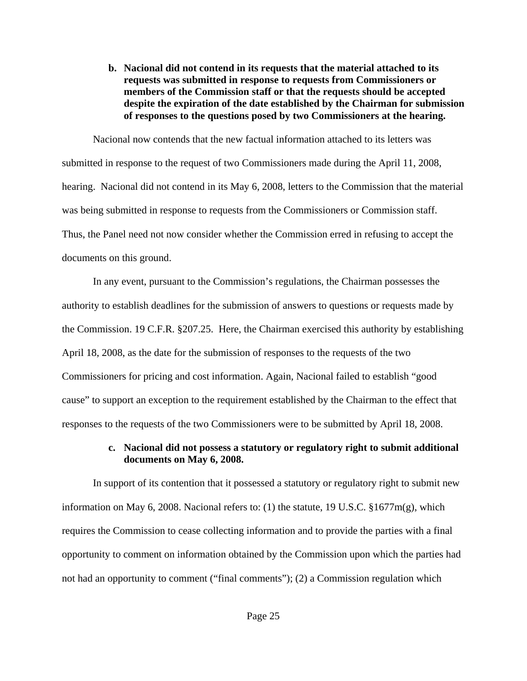**b. Nacional did not contend in its requests that the material attached to its requests was submitted in response to requests from Commissioners or members of the Commission staff or that the requests should be accepted despite the expiration of the date established by the Chairman for submission of responses to the questions posed by two Commissioners at the hearing.** 

 Nacional now contends that the new factual information attached to its letters was submitted in response to the request of two Commissioners made during the April 11, 2008, hearing. Nacional did not contend in its May 6, 2008, letters to the Commission that the material was being submitted in response to requests from the Commissioners or Commission staff. Thus, the Panel need not now consider whether the Commission erred in refusing to accept the documents on this ground.

 In any event, pursuant to the Commission's regulations, the Chairman possesses the authority to establish deadlines for the submission of answers to questions or requests made by the Commission. 19 C.F.R. §207.25. Here, the Chairman exercised this authority by establishing April 18, 2008, as the date for the submission of responses to the requests of the two Commissioners for pricing and cost information. Again, Nacional failed to establish "good cause" to support an exception to the requirement established by the Chairman to the effect that responses to the requests of the two Commissioners were to be submitted by April 18, 2008.

## **c. Nacional did not possess a statutory or regulatory right to submit additional documents on May 6, 2008.**

 In support of its contention that it possessed a statutory or regulatory right to submit new information on May 6, 2008. Nacional refers to: (1) the statute, 19 U.S.C. §1677m(g), which requires the Commission to cease collecting information and to provide the parties with a final opportunity to comment on information obtained by the Commission upon which the parties had not had an opportunity to comment ("final comments"); (2) a Commission regulation which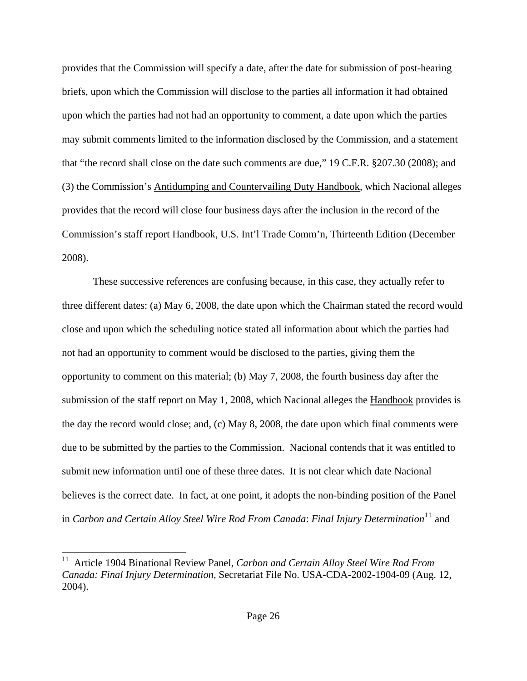provides that the Commission will specify a date, after the date for submission of post-hearing briefs, upon which the Commission will disclose to the parties all information it had obtained upon which the parties had not had an opportunity to comment, a date upon which the parties may submit comments limited to the information disclosed by the Commission, and a statement that "the record shall close on the date such comments are due," 19 C.F.R. §207.30 (2008); and (3) the Commission's Antidumping and Countervailing Duty Handbook, which Nacional alleges provides that the record will close four business days after the inclusion in the record of the Commission's staff report Handbook, U.S. Int'l Trade Comm'n, Thirteenth Edition (December 2008).

 These successive references are confusing because, in this case, they actually refer to three different dates: (a) May 6, 2008, the date upon which the Chairman stated the record would close and upon which the scheduling notice stated all information about which the parties had not had an opportunity to comment would be disclosed to the parties, giving them the opportunity to comment on this material; (b) May 7, 2008, the fourth business day after the submission of the staff report on May 1, 2008, which Nacional alleges the Handbook provides is the day the record would close; and, (c) May 8, 2008, the date upon which final comments were due to be submitted by the parties to the Commission. Nacional contends that it was entitled to submit new information until one of these three dates. It is not clear which date Nacional believes is the correct date. In fact, at one point, it adopts the non-binding position of the Panel in *Carbon and Certain Alloy Steel Wire Rod From Canada: Final Injury Determination*<sup>[11](#page-25-0)</sup> and

<span id="page-25-0"></span><sup>&</sup>lt;sup>11</sup> Article 1904 Binational Review Panel, *Carbon and Certain Alloy Steel Wire Rod From Canada: Final Injury Determination,* Secretariat File No. USA-CDA-2002-1904-09 (Aug. 12, 2004).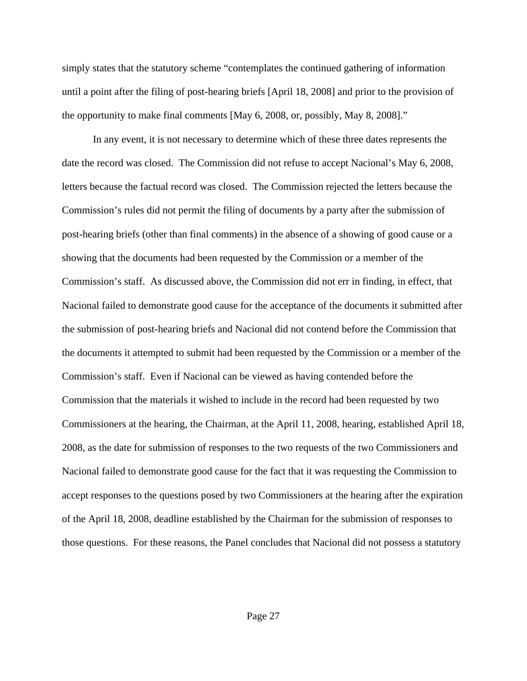simply states that the statutory scheme "contemplates the continued gathering of information until a point after the filing of post-hearing briefs [April 18, 2008] and prior to the provision of the opportunity to make final comments [May 6, 2008, or, possibly, May 8, 2008]."

 In any event, it is not necessary to determine which of these three dates represents the date the record was closed. The Commission did not refuse to accept Nacional's May 6, 2008, letters because the factual record was closed. The Commission rejected the letters because the Commission's rules did not permit the filing of documents by a party after the submission of post-hearing briefs (other than final comments) in the absence of a showing of good cause or a showing that the documents had been requested by the Commission or a member of the Commission's staff. As discussed above, the Commission did not err in finding, in effect, that Nacional failed to demonstrate good cause for the acceptance of the documents it submitted after the submission of post-hearing briefs and Nacional did not contend before the Commission that the documents it attempted to submit had been requested by the Commission or a member of the Commission's staff. Even if Nacional can be viewed as having contended before the Commission that the materials it wished to include in the record had been requested by two Commissioners at the hearing, the Chairman, at the April 11, 2008, hearing, established April 18, 2008, as the date for submission of responses to the two requests of the two Commissioners and Nacional failed to demonstrate good cause for the fact that it was requesting the Commission to accept responses to the questions posed by two Commissioners at the hearing after the expiration of the April 18, 2008, deadline established by the Chairman for the submission of responses to those questions. For these reasons, the Panel concludes that Nacional did not possess a statutory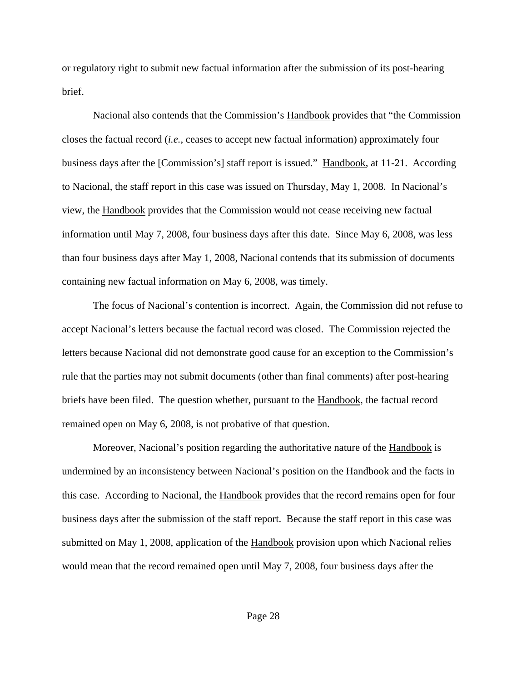or regulatory right to submit new factual information after the submission of its post-hearing brief.

 Nacional also contends that the Commission's Handbook provides that "the Commission closes the factual record (*i.e.*, ceases to accept new factual information) approximately four business days after the [Commission's] staff report is issued." Handbook, at 11-21. According to Nacional, the staff report in this case was issued on Thursday, May 1, 2008. In Nacional's view, the Handbook provides that the Commission would not cease receiving new factual information until May 7, 2008, four business days after this date. Since May 6, 2008, was less than four business days after May 1, 2008, Nacional contends that its submission of documents containing new factual information on May 6, 2008, was timely.

 The focus of Nacional's contention is incorrect. Again, the Commission did not refuse to accept Nacional's letters because the factual record was closed. The Commission rejected the letters because Nacional did not demonstrate good cause for an exception to the Commission's rule that the parties may not submit documents (other than final comments) after post-hearing briefs have been filed. The question whether, pursuant to the **Handbook**, the factual record remained open on May 6, 2008, is not probative of that question.

 Moreover, Nacional's position regarding the authoritative nature of the Handbook is undermined by an inconsistency between Nacional's position on the Handbook and the facts in this case. According to Nacional, the Handbook provides that the record remains open for four business days after the submission of the staff report. Because the staff report in this case was submitted on May 1, 2008, application of the Handbook provision upon which Nacional relies would mean that the record remained open until May 7, 2008, four business days after the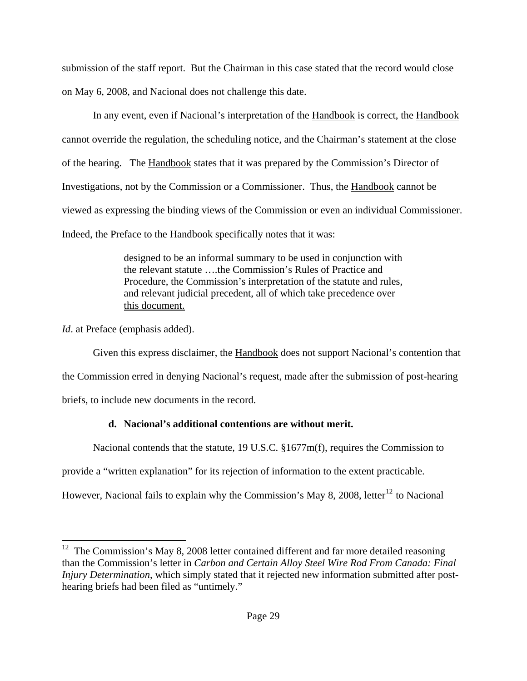submission of the staff report. But the Chairman in this case stated that the record would close on May 6, 2008, and Nacional does not challenge this date.

 In any event, even if Nacional's interpretation of the Handbook is correct, the Handbook cannot override the regulation, the scheduling notice, and the Chairman's statement at the close of the hearing. The Handbook states that it was prepared by the Commission's Director of Investigations, not by the Commission or a Commissioner. Thus, the Handbook cannot be viewed as expressing the binding views of the Commission or even an individual Commissioner. Indeed, the Preface to the Handbook specifically notes that it was:

> designed to be an informal summary to be used in conjunction with the relevant statute ….the Commission's Rules of Practice and Procedure, the Commission's interpretation of the statute and rules, and relevant judicial precedent, all of which take precedence over this document.

*Id.* at Preface (emphasis added).

 Given this express disclaimer, the Handbook does not support Nacional's contention that the Commission erred in denying Nacional's request, made after the submission of post-hearing briefs, to include new documents in the record.

# **d. Nacional's additional contentions are without merit.**

Nacional contends that the statute, 19 U.S.C. §1677m(f), requires the Commission to

provide a "written explanation" for its rejection of information to the extent practicable.

However, Nacional fails to explain why the Commission's May 8, 2008, letter<sup>[12](#page-28-0)</sup> to Nacional

<span id="page-28-0"></span>  $12$  The Commission's May 8, 2008 letter contained different and far more detailed reasoning than the Commission's letter in *Carbon and Certain Alloy Steel Wire Rod From Canada: Final Injury Determination*, which simply stated that it rejected new information submitted after posthearing briefs had been filed as "untimely."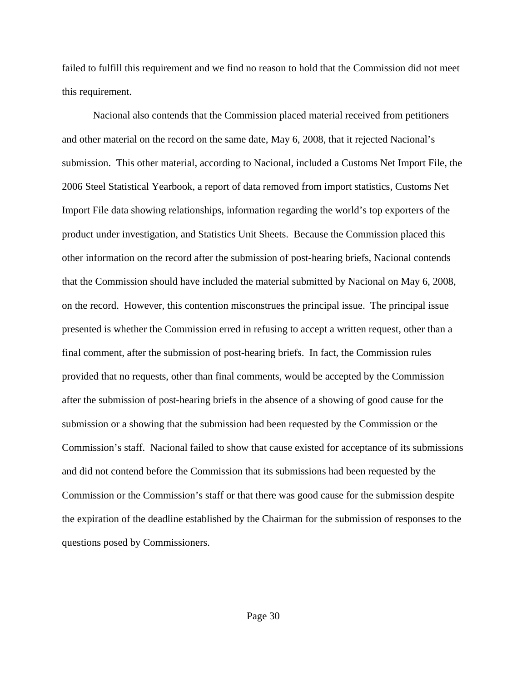failed to fulfill this requirement and we find no reason to hold that the Commission did not meet this requirement.

 Nacional also contends that the Commission placed material received from petitioners and other material on the record on the same date, May 6, 2008, that it rejected Nacional's submission. This other material, according to Nacional, included a Customs Net Import File, the 2006 Steel Statistical Yearbook, a report of data removed from import statistics, Customs Net Import File data showing relationships, information regarding the world's top exporters of the product under investigation, and Statistics Unit Sheets. Because the Commission placed this other information on the record after the submission of post-hearing briefs, Nacional contends that the Commission should have included the material submitted by Nacional on May 6, 2008, on the record. However, this contention misconstrues the principal issue. The principal issue presented is whether the Commission erred in refusing to accept a written request, other than a final comment, after the submission of post-hearing briefs. In fact, the Commission rules provided that no requests, other than final comments, would be accepted by the Commission after the submission of post-hearing briefs in the absence of a showing of good cause for the submission or a showing that the submission had been requested by the Commission or the Commission's staff. Nacional failed to show that cause existed for acceptance of its submissions and did not contend before the Commission that its submissions had been requested by the Commission or the Commission's staff or that there was good cause for the submission despite the expiration of the deadline established by the Chairman for the submission of responses to the questions posed by Commissioners.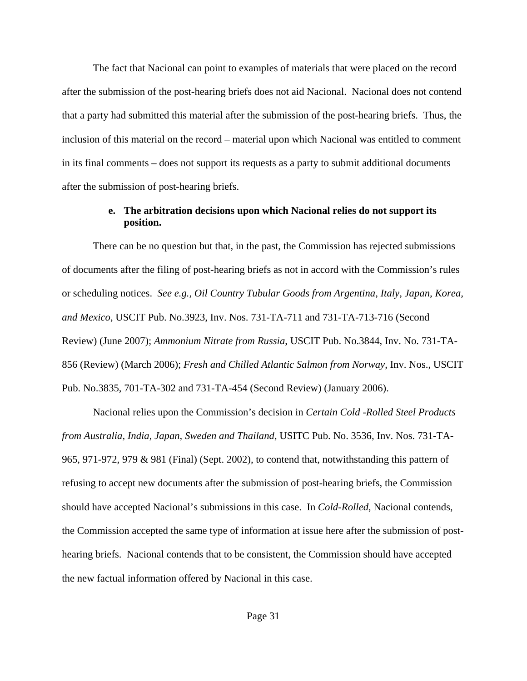The fact that Nacional can point to examples of materials that were placed on the record after the submission of the post-hearing briefs does not aid Nacional. Nacional does not contend that a party had submitted this material after the submission of the post-hearing briefs. Thus, the inclusion of this material on the record – material upon which Nacional was entitled to comment in its final comments – does not support its requests as a party to submit additional documents after the submission of post-hearing briefs.

## **e. The arbitration decisions upon which Nacional relies do not support its position.**

 There can be no question but that, in the past, the Commission has rejected submissions of documents after the filing of post-hearing briefs as not in accord with the Commission's rules or scheduling notices. *See e.g., Oil Country Tubular Goods from Argentina, Italy, Japan, Korea, and Mexico*, USCIT Pub. No.3923, Inv. Nos. 731-TA-711 and 731-TA-713-716 (Second Review) (June 2007); *Ammonium Nitrate from Russia*, USCIT Pub. No.3844, Inv. No. 731-TA-856 (Review) (March 2006); *Fresh and Chilled Atlantic Salmon from Norway*, Inv. Nos., USCIT Pub. No.3835, 701-TA-302 and 731-TA-454 (Second Review) (January 2006).

 Nacional relies upon the Commission's decision in *Certain Cold -Rolled Steel Products from Australia, India, Japan, Sweden and Thailand*, USITC Pub. No. 3536, Inv. Nos. 731-TA-965, 971-972, 979 & 981 (Final) (Sept. 2002), to contend that, notwithstanding this pattern of refusing to accept new documents after the submission of post-hearing briefs, the Commission should have accepted Nacional's submissions in this case. In *Cold-Rolled*, Nacional contends, the Commission accepted the same type of information at issue here after the submission of posthearing briefs. Nacional contends that to be consistent, the Commission should have accepted the new factual information offered by Nacional in this case.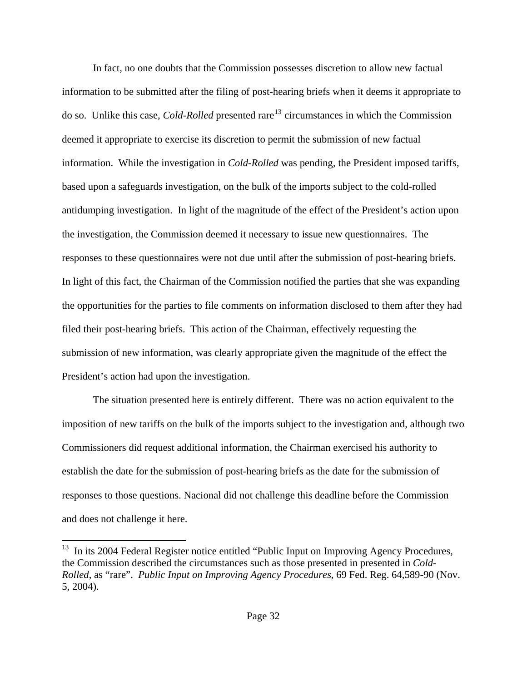In fact, no one doubts that the Commission possesses discretion to allow new factual information to be submitted after the filing of post-hearing briefs when it deems it appropriate to do so. Unlike this case, *Cold-Rolled* presented rare<sup>[13](#page-31-0)</sup> circumstances in which the Commission deemed it appropriate to exercise its discretion to permit the submission of new factual information. While the investigation in *Cold-Rolled* was pending, the President imposed tariffs, based upon a safeguards investigation, on the bulk of the imports subject to the cold-rolled antidumping investigation. In light of the magnitude of the effect of the President's action upon the investigation, the Commission deemed it necessary to issue new questionnaires. The responses to these questionnaires were not due until after the submission of post-hearing briefs. In light of this fact, the Chairman of the Commission notified the parties that she was expanding the opportunities for the parties to file comments on information disclosed to them after they had filed their post-hearing briefs. This action of the Chairman, effectively requesting the submission of new information, was clearly appropriate given the magnitude of the effect the President's action had upon the investigation.

 The situation presented here is entirely different. There was no action equivalent to the imposition of new tariffs on the bulk of the imports subject to the investigation and, although two Commissioners did request additional information, the Chairman exercised his authority to establish the date for the submission of post-hearing briefs as the date for the submission of responses to those questions. Nacional did not challenge this deadline before the Commission and does not challenge it here.

<span id="page-31-0"></span> $13$  In its 2004 Federal Register notice entitled "Public Input on Improving Agency Procedures, the Commission described the circumstances such as those presented in presented in *Cold-Rolled*, as "rare". *Public Input on Improving Agency Procedures*, 69 Fed. Reg. 64,589-90 (Nov. 5, 2004).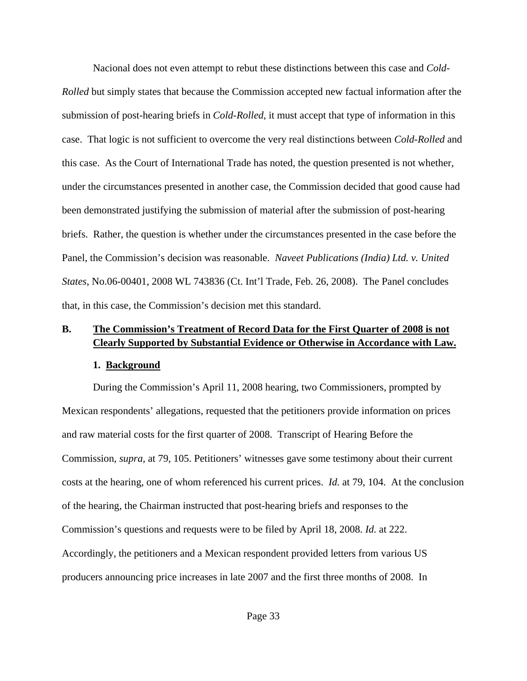Nacional does not even attempt to rebut these distinctions between this case and *Cold-Rolled* but simply states that because the Commission accepted new factual information after the submission of post-hearing briefs in *Cold-Rolled*, it must accept that type of information in this case. That logic is not sufficient to overcome the very real distinctions between *Cold-Rolled* and this case. As the Court of International Trade has noted, the question presented is not whether, under the circumstances presented in another case, the Commission decided that good cause had been demonstrated justifying the submission of material after the submission of post-hearing briefs. Rather, the question is whether under the circumstances presented in the case before the Panel, the Commission's decision was reasonable. *Naveet Publications (India) Ltd. v. United States*, No.06-00401, 2008 WL 743836 (Ct. Int'l Trade, Feb. 26, 2008). The Panel concludes that, in this case, the Commission's decision met this standard.

# **B. The Commission's Treatment of Record Data for the First Quarter of 2008 is not Clearly Supported by Substantial Evidence or Otherwise in Accordance with Law.**

### **1. Background**

During the Commission's April 11, 2008 hearing, two Commissioners, prompted by Mexican respondents' allegations, requested that the petitioners provide information on prices and raw material costs for the first quarter of 2008. Transcript of Hearing Before the Commission, *supra,* at 79, 105. Petitioners' witnesses gave some testimony about their current costs at the hearing, one of whom referenced his current prices. *Id.* at 79, 104. At the conclusion of the hearing, the Chairman instructed that post-hearing briefs and responses to the Commission's questions and requests were to be filed by April 18, 2008. *Id.* at 222. Accordingly, the petitioners and a Mexican respondent provided letters from various US producers announcing price increases in late 2007 and the first three months of 2008. In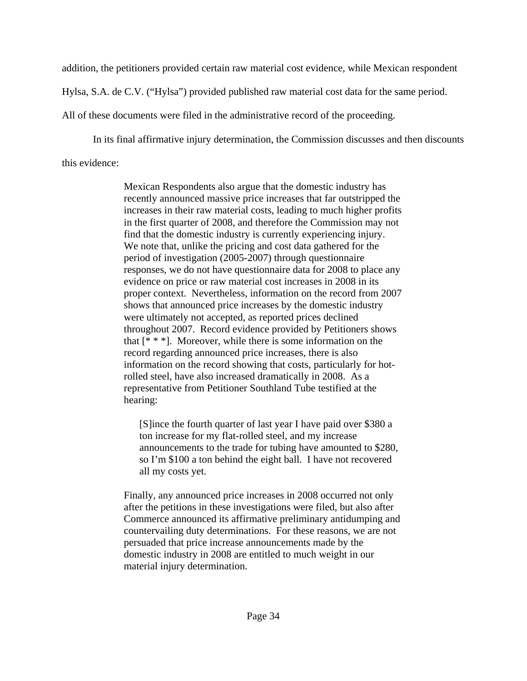addition, the petitioners provided certain raw material cost evidence, while Mexican respondent

Hylsa, S.A. de C.V. ("Hylsa") provided published raw material cost data for the same period.

All of these documents were filed in the administrative record of the proceeding.

In its final affirmative injury determination, the Commission discusses and then discounts

this evidence:

Mexican Respondents also argue that the domestic industry has recently announced massive price increases that far outstripped the increases in their raw material costs, leading to much higher profits in the first quarter of 2008, and therefore the Commission may not find that the domestic industry is currently experiencing injury. We note that, unlike the pricing and cost data gathered for the period of investigation (2005-2007) through questionnaire responses, we do not have questionnaire data for 2008 to place any evidence on price or raw material cost increases in 2008 in its proper context. Nevertheless, information on the record from 2007 shows that announced price increases by the domestic industry were ultimately not accepted, as reported prices declined throughout 2007. Record evidence provided by Petitioners shows that  $[$ <sup>\*</sup>  $^*$   $^*$ ]. Moreover, while there is some information on the record regarding announced price increases, there is also information on the record showing that costs, particularly for hotrolled steel, have also increased dramatically in 2008. As a representative from Petitioner Southland Tube testified at the hearing:

[S]ince the fourth quarter of last year I have paid over \$380 a ton increase for my flat-rolled steel, and my increase announcements to the trade for tubing have amounted to \$280, so I'm \$100 a ton behind the eight ball. I have not recovered all my costs yet.

Finally, any announced price increases in 2008 occurred not only after the petitions in these investigations were filed, but also after Commerce announced its affirmative preliminary antidumping and countervailing duty determinations. For these reasons, we are not persuaded that price increase announcements made by the domestic industry in 2008 are entitled to much weight in our material injury determination.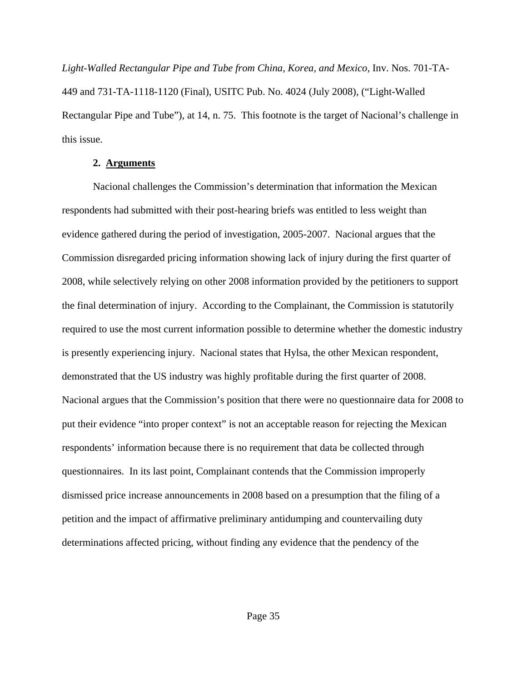*Light-Walled Rectangular Pipe and Tube from China, Korea, and Mexico,* Inv. Nos. 701-TA-449 and 731-TA-1118-1120 (Final), USITC Pub. No. 4024 (July 2008), ("Light-Walled Rectangular Pipe and Tube"), at 14, n. 75. This footnote is the target of Nacional's challenge in this issue.

### **2. Arguments**

Nacional challenges the Commission's determination that information the Mexican respondents had submitted with their post-hearing briefs was entitled to less weight than evidence gathered during the period of investigation, 2005-2007. Nacional argues that the Commission disregarded pricing information showing lack of injury during the first quarter of 2008, while selectively relying on other 2008 information provided by the petitioners to support the final determination of injury. According to the Complainant, the Commission is statutorily required to use the most current information possible to determine whether the domestic industry is presently experiencing injury. Nacional states that Hylsa, the other Mexican respondent, demonstrated that the US industry was highly profitable during the first quarter of 2008. Nacional argues that the Commission's position that there were no questionnaire data for 2008 to put their evidence "into proper context" is not an acceptable reason for rejecting the Mexican respondents' information because there is no requirement that data be collected through questionnaires. In its last point, Complainant contends that the Commission improperly dismissed price increase announcements in 2008 based on a presumption that the filing of a petition and the impact of affirmative preliminary antidumping and countervailing duty determinations affected pricing, without finding any evidence that the pendency of the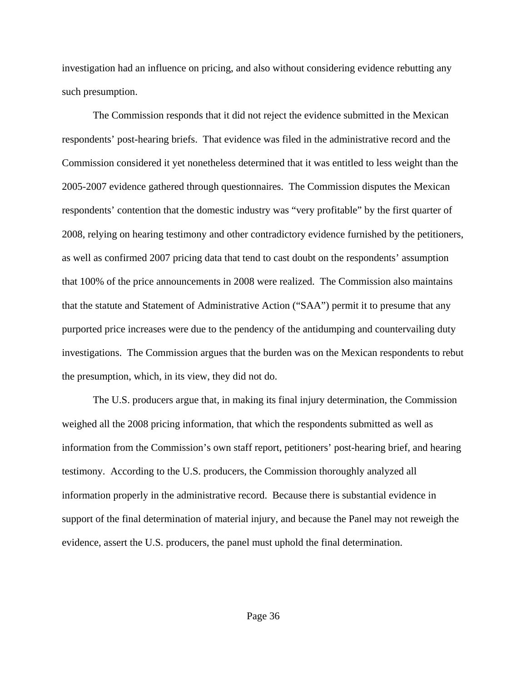investigation had an influence on pricing, and also without considering evidence rebutting any such presumption.

The Commission responds that it did not reject the evidence submitted in the Mexican respondents' post-hearing briefs. That evidence was filed in the administrative record and the Commission considered it yet nonetheless determined that it was entitled to less weight than the 2005-2007 evidence gathered through questionnaires. The Commission disputes the Mexican respondents' contention that the domestic industry was "very profitable" by the first quarter of 2008, relying on hearing testimony and other contradictory evidence furnished by the petitioners, as well as confirmed 2007 pricing data that tend to cast doubt on the respondents' assumption that 100% of the price announcements in 2008 were realized. The Commission also maintains that the statute and Statement of Administrative Action ("SAA") permit it to presume that any purported price increases were due to the pendency of the antidumping and countervailing duty investigations. The Commission argues that the burden was on the Mexican respondents to rebut the presumption, which, in its view, they did not do.

The U.S. producers argue that, in making its final injury determination, the Commission weighed all the 2008 pricing information, that which the respondents submitted as well as information from the Commission's own staff report, petitioners' post-hearing brief, and hearing testimony. According to the U.S. producers, the Commission thoroughly analyzed all information properly in the administrative record. Because there is substantial evidence in support of the final determination of material injury, and because the Panel may not reweigh the evidence, assert the U.S. producers, the panel must uphold the final determination.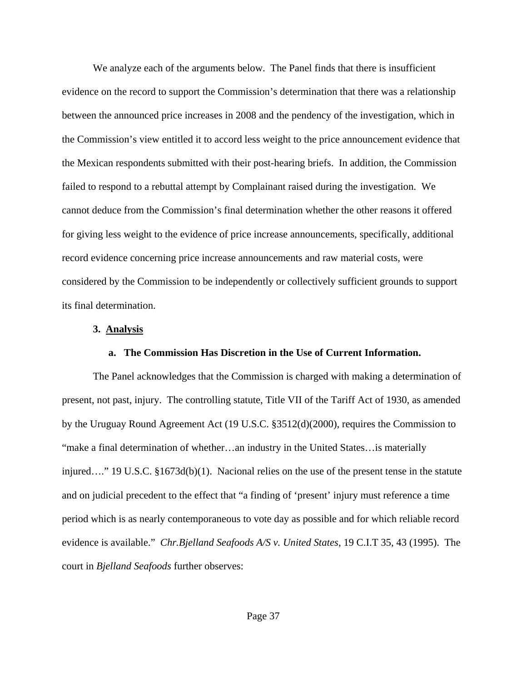We analyze each of the arguments below. The Panel finds that there is insufficient evidence on the record to support the Commission's determination that there was a relationship between the announced price increases in 2008 and the pendency of the investigation, which in the Commission's view entitled it to accord less weight to the price announcement evidence that the Mexican respondents submitted with their post-hearing briefs. In addition, the Commission failed to respond to a rebuttal attempt by Complainant raised during the investigation. We cannot deduce from the Commission's final determination whether the other reasons it offered for giving less weight to the evidence of price increase announcements, specifically, additional record evidence concerning price increase announcements and raw material costs, were considered by the Commission to be independently or collectively sufficient grounds to support its final determination.

### **3. Analysis**

### **a. The Commission Has Discretion in the Use of Current Information.**

The Panel acknowledges that the Commission is charged with making a determination of present, not past, injury. The controlling statute, Title VII of the Tariff Act of 1930, as amended by the Uruguay Round Agreement Act (19 U.S.C. §3512(d)(2000), requires the Commission to "make a final determination of whether…an industry in the United States…is materially injured…." 19 U.S.C. §1673d(b)(1). Nacional relies on the use of the present tense in the statute and on judicial precedent to the effect that "a finding of 'present' injury must reference a time period which is as nearly contemporaneous to vote day as possible and for which reliable record evidence is available." *Chr.Bjelland Seafoods A/S v. United States*, 19 C.I.T 35, 43 (1995). The court in *Bjelland Seafoods* further observes: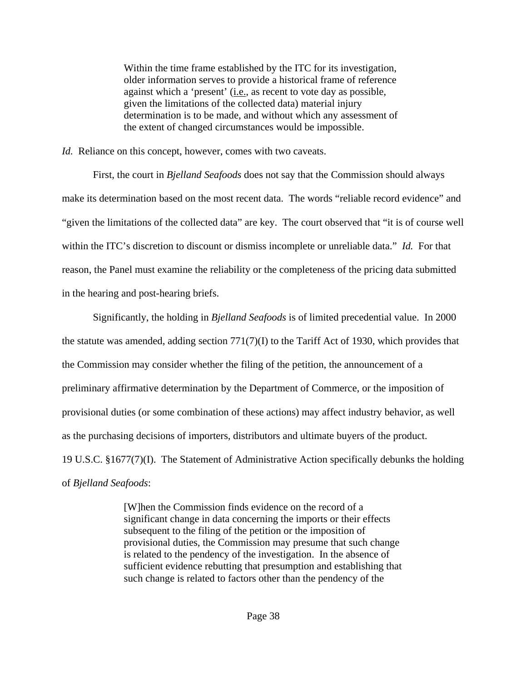Within the time frame established by the ITC for its investigation, older information serves to provide a historical frame of reference against which a 'present' (i.e., as recent to vote day as possible, given the limitations of the collected data) material injury determination is to be made, and without which any assessment of the extent of changed circumstances would be impossible.

*Id.* Reliance on this concept, however, comes with two caveats.

First, the court in *Bjelland Seafoods* does not say that the Commission should always make its determination based on the most recent data. The words "reliable record evidence" and "given the limitations of the collected data" are key. The court observed that "it is of course well within the ITC's discretion to discount or dismiss incomplete or unreliable data." *Id.* For that reason, the Panel must examine the reliability or the completeness of the pricing data submitted in the hearing and post-hearing briefs.

Significantly, the holding in *Bjelland Seafoods* is of limited precedential value. In 2000 the statute was amended, adding section 771(7)(I) to the Tariff Act of 1930, which provides that the Commission may consider whether the filing of the petition, the announcement of a preliminary affirmative determination by the Department of Commerce, or the imposition of provisional duties (or some combination of these actions) may affect industry behavior, as well as the purchasing decisions of importers, distributors and ultimate buyers of the product. 19 U.S.C. §1677(7)(I). The Statement of Administrative Action specifically debunks the holding of *Bjelland Seafoods*:

> [W]hen the Commission finds evidence on the record of a significant change in data concerning the imports or their effects subsequent to the filing of the petition or the imposition of provisional duties, the Commission may presume that such change is related to the pendency of the investigation. In the absence of sufficient evidence rebutting that presumption and establishing that such change is related to factors other than the pendency of the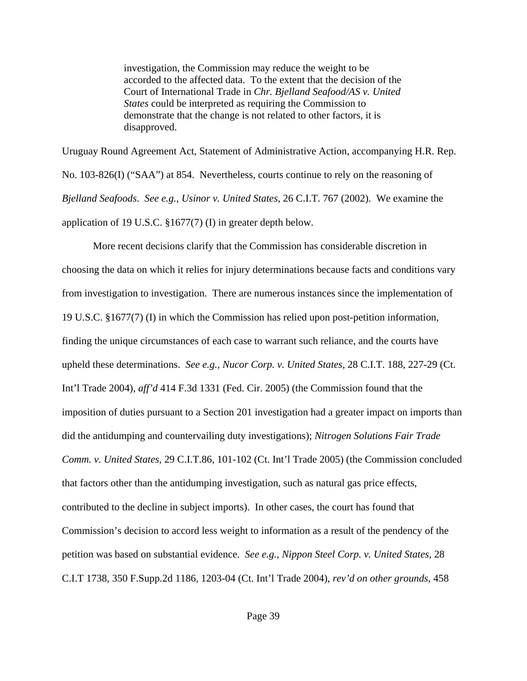investigation, the Commission may reduce the weight to be accorded to the affected data. To the extent that the decision of the Court of International Trade in *Chr. Bjelland Seafood/AS v. United States* could be interpreted as requiring the Commission to demonstrate that the change is not related to other factors, it is disapproved.

Uruguay Round Agreement Act, Statement of Administrative Action, accompanying H.R. Rep. No. 103-826(I) ("SAA") at 854. Nevertheless, courts continue to rely on the reasoning of *Bjelland Seafoods*. *See e.g., Usinor v. United States*, 26 C.I.T. 767 (2002). We examine the application of 19 U.S.C. §1677(7) (I) in greater depth below.

 More recent decisions clarify that the Commission has considerable discretion in choosing the data on which it relies for injury determinations because facts and conditions vary from investigation to investigation. There are numerous instances since the implementation of 19 U.S.C. §1677(7) (I) in which the Commission has relied upon post-petition information, finding the unique circumstances of each case to warrant such reliance, and the courts have upheld these determinations. *See e.g., Nucor Corp. v. United States,* 28 C.I.T. 188, 227-29 (Ct. Int'l Trade 2004), *aff'd* 414 F.3d 1331 (Fed. Cir. 2005) (the Commission found that the imposition of duties pursuant to a Section 201 investigation had a greater impact on imports than did the antidumping and countervailing duty investigations); *Nitrogen Solutions Fair Trade Comm. v. United States*, 29 C.I.T.86, 101-102 (Ct. Int'l Trade 2005) (the Commission concluded that factors other than the antidumping investigation, such as natural gas price effects, contributed to the decline in subject imports). In other cases, the court has found that Commission's decision to accord less weight to information as a result of the pendency of the petition was based on substantial evidence. *See e.g., Nippon Steel Corp. v. United States*, 28 C.I.T 1738, 350 F.Supp.2d 1186, 1203-04 (Ct. Int'l Trade 2004), *rev'd on other grounds*, 458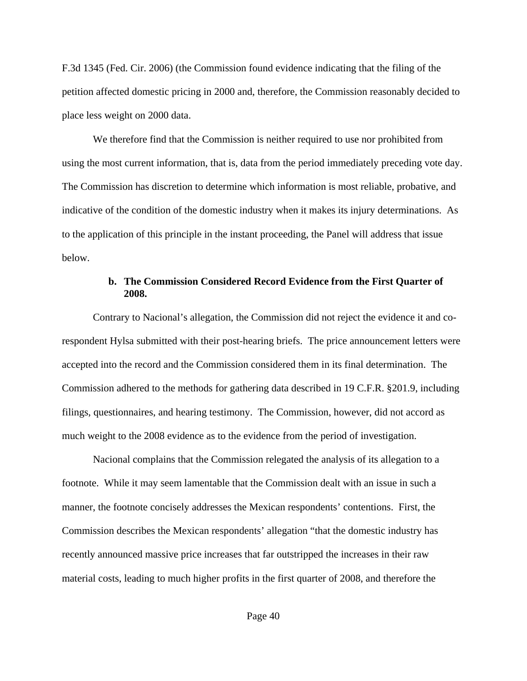F.3d 1345 (Fed. Cir. 2006) (the Commission found evidence indicating that the filing of the petition affected domestic pricing in 2000 and, therefore, the Commission reasonably decided to place less weight on 2000 data.

 We therefore find that the Commission is neither required to use nor prohibited from using the most current information, that is, data from the period immediately preceding vote day. The Commission has discretion to determine which information is most reliable, probative, and indicative of the condition of the domestic industry when it makes its injury determinations. As to the application of this principle in the instant proceeding, the Panel will address that issue below.

### **b. The Commission Considered Record Evidence from the First Quarter of 2008.**

 Contrary to Nacional's allegation, the Commission did not reject the evidence it and corespondent Hylsa submitted with their post-hearing briefs. The price announcement letters were accepted into the record and the Commission considered them in its final determination. The Commission adhered to the methods for gathering data described in 19 C.F.R. §201.9, including filings, questionnaires, and hearing testimony. The Commission, however, did not accord as much weight to the 2008 evidence as to the evidence from the period of investigation.

Nacional complains that the Commission relegated the analysis of its allegation to a footnote. While it may seem lamentable that the Commission dealt with an issue in such a manner, the footnote concisely addresses the Mexican respondents' contentions. First, the Commission describes the Mexican respondents' allegation "that the domestic industry has recently announced massive price increases that far outstripped the increases in their raw material costs, leading to much higher profits in the first quarter of 2008, and therefore the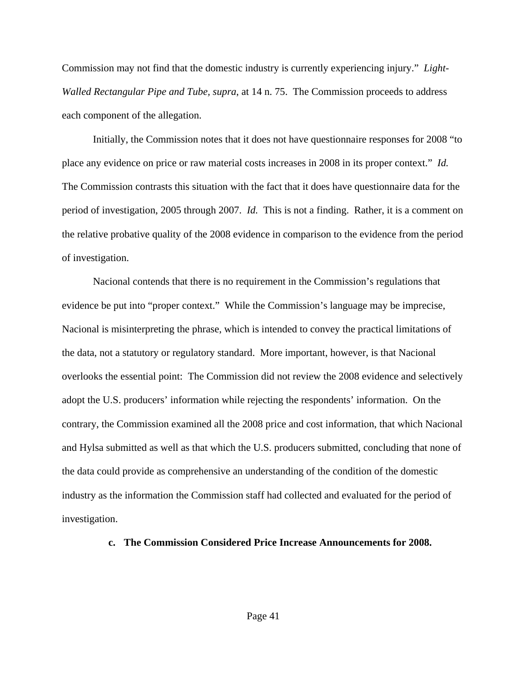Commission may not find that the domestic industry is currently experiencing injury." *Light-Walled Rectangular Pipe and Tube, supra*, at 14 n. 75. The Commission proceeds to address each component of the allegation.

Initially, the Commission notes that it does not have questionnaire responses for 2008 "to place any evidence on price or raw material costs increases in 2008 in its proper context." *Id.* The Commission contrasts this situation with the fact that it does have questionnaire data for the period of investigation, 2005 through 2007. *Id.* This is not a finding. Rather, it is a comment on the relative probative quality of the 2008 evidence in comparison to the evidence from the period of investigation.

Nacional contends that there is no requirement in the Commission's regulations that evidence be put into "proper context." While the Commission's language may be imprecise, Nacional is misinterpreting the phrase, which is intended to convey the practical limitations of the data, not a statutory or regulatory standard. More important, however, is that Nacional overlooks the essential point: The Commission did not review the 2008 evidence and selectively adopt the U.S. producers' information while rejecting the respondents' information. On the contrary, the Commission examined all the 2008 price and cost information, that which Nacional and Hylsa submitted as well as that which the U.S. producers submitted, concluding that none of the data could provide as comprehensive an understanding of the condition of the domestic industry as the information the Commission staff had collected and evaluated for the period of investigation.

### **c. The Commission Considered Price Increase Announcements for 2008.**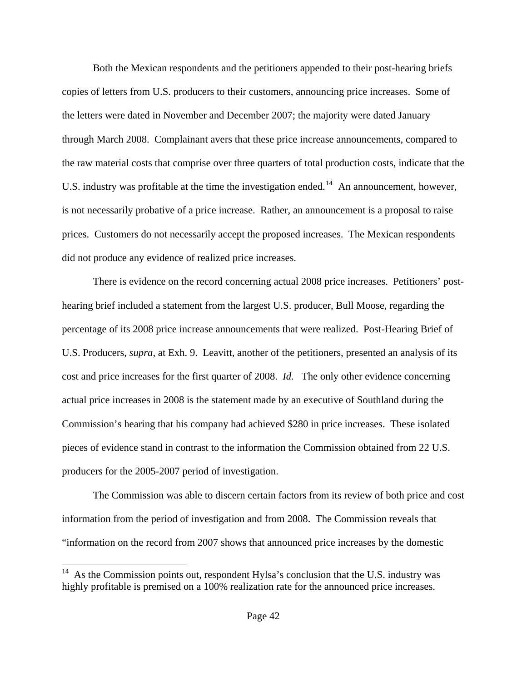Both the Mexican respondents and the petitioners appended to their post-hearing briefs copies of letters from U.S. producers to their customers, announcing price increases. Some of the letters were dated in November and December 2007; the majority were dated January through March 2008. Complainant avers that these price increase announcements, compared to the raw material costs that comprise over three quarters of total production costs, indicate that the U.S. industry was profitable at the time the investigation ended.<sup>[14](#page-41-0)</sup> An announcement, however, is not necessarily probative of a price increase. Rather, an announcement is a proposal to raise prices. Customers do not necessarily accept the proposed increases. The Mexican respondents did not produce any evidence of realized price increases.

There is evidence on the record concerning actual 2008 price increases. Petitioners' posthearing brief included a statement from the largest U.S. producer, Bull Moose, regarding the percentage of its 2008 price increase announcements that were realized. Post-Hearing Brief of U.S. Producers, *supra,* at Exh. 9. Leavitt, another of the petitioners, presented an analysis of its cost and price increases for the first quarter of 2008. *Id.* The only other evidence concerning actual price increases in 2008 is the statement made by an executive of Southland during the Commission's hearing that his company had achieved \$280 in price increases. These isolated pieces of evidence stand in contrast to the information the Commission obtained from 22 U.S. producers for the 2005-2007 period of investigation.

The Commission was able to discern certain factors from its review of both price and cost information from the period of investigation and from 2008. The Commission reveals that "information on the record from 2007 shows that announced price increases by the domestic

<span id="page-41-0"></span> $14$  As the Commission points out, respondent Hylsa's conclusion that the U.S. industry was highly profitable is premised on a 100% realization rate for the announced price increases.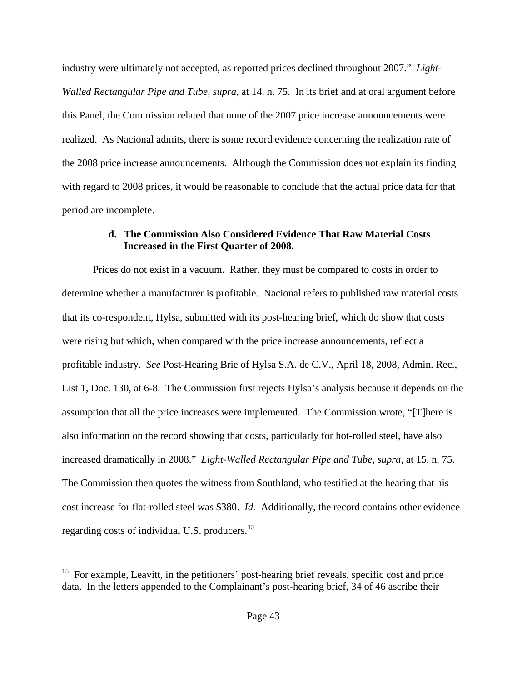industry were ultimately not accepted, as reported prices declined throughout 2007." *Light-Walled Rectangular Pipe and Tube, supra*, at 14. n. 75. In its brief and at oral argument before this Panel, the Commission related that none of the 2007 price increase announcements were realized. As Nacional admits, there is some record evidence concerning the realization rate of the 2008 price increase announcements. Although the Commission does not explain its finding with regard to 2008 prices, it would be reasonable to conclude that the actual price data for that period are incomplete.

## **d. The Commission Also Considered Evidence That Raw Material Costs Increased in the First Quarter of 2008.**

Prices do not exist in a vacuum. Rather, they must be compared to costs in order to determine whether a manufacturer is profitable. Nacional refers to published raw material costs that its co-respondent, Hylsa, submitted with its post-hearing brief, which do show that costs were rising but which, when compared with the price increase announcements, reflect a profitable industry. *See* Post-Hearing Brie of Hylsa S.A. de C.V., April 18, 2008, Admin. Rec., List 1, Doc. 130, at 6-8. The Commission first rejects Hylsa's analysis because it depends on the assumption that all the price increases were implemented. The Commission wrote, "[T]here is also information on the record showing that costs, particularly for hot-rolled steel, have also increased dramatically in 2008." *Light-Walled Rectangular Pipe and Tube, supra*, at 15, n. 75. The Commission then quotes the witness from Southland, who testified at the hearing that his cost increase for flat-rolled steel was \$380. *Id.* Additionally, the record contains other evidence regarding costs of individual U.S. producers.[15](#page-42-0)

<span id="page-42-0"></span> $15$  For example, Leavitt, in the petitioners' post-hearing brief reveals, specific cost and price data. In the letters appended to the Complainant's post-hearing brief, 34 of 46 ascribe their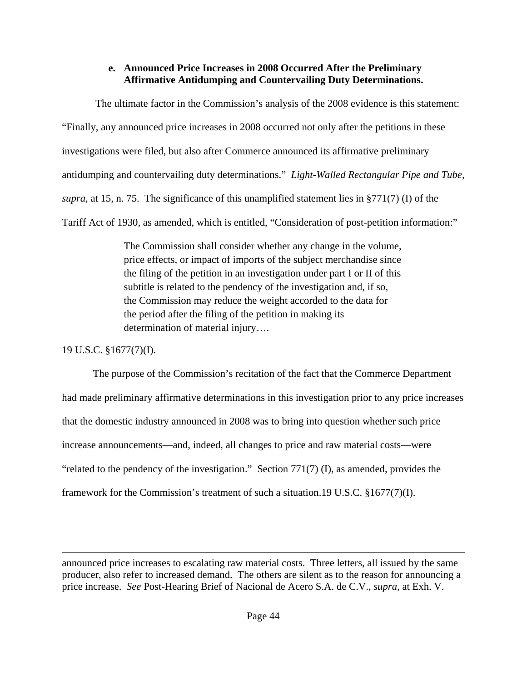# **e. Announced Price Increases in 2008 Occurred After the Preliminary Affirmative Antidumping and Countervailing Duty Determinations.**

 The ultimate factor in the Commission's analysis of the 2008 evidence is this statement: "Finally, any announced price increases in 2008 occurred not only after the petitions in these investigations were filed, but also after Commerce announced its affirmative preliminary antidumping and countervailing duty determinations." *Light-Walled Rectangular Pipe and Tube, supra*, at 15, n. 75. The significance of this unamplified statement lies in §771(7) (I) of the Tariff Act of 1930, as amended, which is entitled, "Consideration of post-petition information:"

> The Commission shall consider whether any change in the volume, price effects, or impact of imports of the subject merchandise since the filing of the petition in an investigation under part I or II of this subtitle is related to the pendency of the investigation and, if so, the Commission may reduce the weight accorded to the data for the period after the filing of the petition in making its determination of material injury….

19 U.S.C. §1677(7)(I).

The purpose of the Commission's recitation of the fact that the Commerce Department had made preliminary affirmative determinations in this investigation prior to any price increases that the domestic industry announced in 2008 was to bring into question whether such price increase announcements—and, indeed, all changes to price and raw material costs—were "related to the pendency of the investigation." Section 771(7) (I), as amended, provides the framework for the Commission's treatment of such a situation.19 U.S.C. §1677(7)(I).

announced price increases to escalating raw material costs. Three letters, all issued by the same producer, also refer to increased demand. The others are silent as to the reason for announcing a price increase. *See* Post-Hearing Brief of Nacional de Acero S.A. de C.V., *supra,* at Exh. V.

<u> 1989 - Johann Stoff, amerikansk politiker (d. 1989)</u>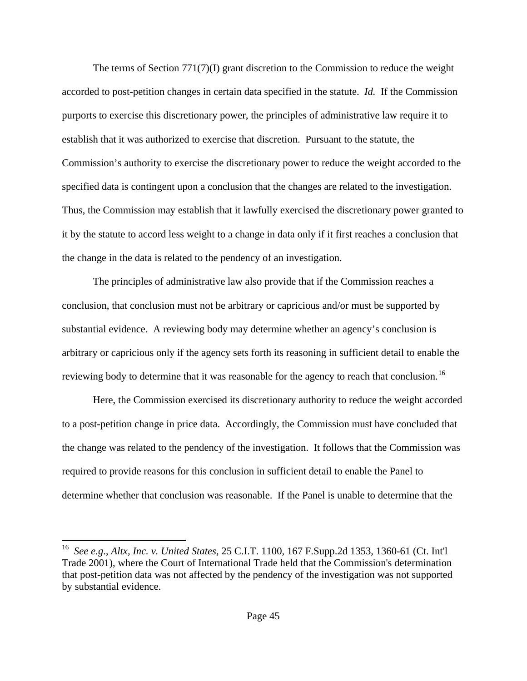The terms of Section  $771(7)(I)$  grant discretion to the Commission to reduce the weight accorded to post-petition changes in certain data specified in the statute. *Id.* If the Commission purports to exercise this discretionary power, the principles of administrative law require it to establish that it was authorized to exercise that discretion. Pursuant to the statute, the Commission's authority to exercise the discretionary power to reduce the weight accorded to the specified data is contingent upon a conclusion that the changes are related to the investigation. Thus, the Commission may establish that it lawfully exercised the discretionary power granted to it by the statute to accord less weight to a change in data only if it first reaches a conclusion that the change in the data is related to the pendency of an investigation.

The principles of administrative law also provide that if the Commission reaches a conclusion, that conclusion must not be arbitrary or capricious and/or must be supported by substantial evidence. A reviewing body may determine whether an agency's conclusion is arbitrary or capricious only if the agency sets forth its reasoning in sufficient detail to enable the reviewing body to determine that it was reasonable for the agency to reach that conclusion.<sup>[16](#page-44-0)</sup>

Here, the Commission exercised its discretionary authority to reduce the weight accorded to a post-petition change in price data. Accordingly, the Commission must have concluded that the change was related to the pendency of the investigation. It follows that the Commission was required to provide reasons for this conclusion in sufficient detail to enable the Panel to determine whether that conclusion was reasonable. If the Panel is unable to determine that the

<span id="page-44-0"></span><sup>16</sup> *See e.g*., *Altx, Inc. v. United States*, 25 C.I.T. 1100, 167 F.Supp.2d 1353, 1360-61 (Ct. Int'l Trade 2001), where the Court of International Trade held that the Commission's determination that post-petition data was not affected by the pendency of the investigation was not supported by substantial evidence.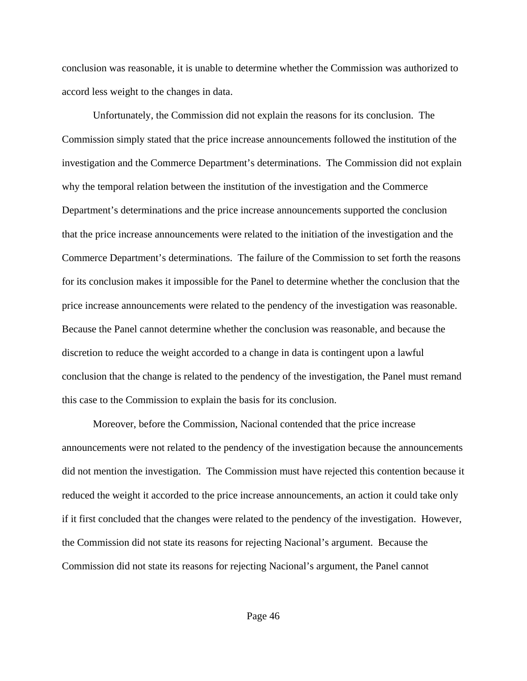conclusion was reasonable, it is unable to determine whether the Commission was authorized to accord less weight to the changes in data.

Unfortunately, the Commission did not explain the reasons for its conclusion. The Commission simply stated that the price increase announcements followed the institution of the investigation and the Commerce Department's determinations. The Commission did not explain why the temporal relation between the institution of the investigation and the Commerce Department's determinations and the price increase announcements supported the conclusion that the price increase announcements were related to the initiation of the investigation and the Commerce Department's determinations. The failure of the Commission to set forth the reasons for its conclusion makes it impossible for the Panel to determine whether the conclusion that the price increase announcements were related to the pendency of the investigation was reasonable. Because the Panel cannot determine whether the conclusion was reasonable, and because the discretion to reduce the weight accorded to a change in data is contingent upon a lawful conclusion that the change is related to the pendency of the investigation, the Panel must remand this case to the Commission to explain the basis for its conclusion.

Moreover, before the Commission, Nacional contended that the price increase announcements were not related to the pendency of the investigation because the announcements did not mention the investigation. The Commission must have rejected this contention because it reduced the weight it accorded to the price increase announcements, an action it could take only if it first concluded that the changes were related to the pendency of the investigation. However, the Commission did not state its reasons for rejecting Nacional's argument. Because the Commission did not state its reasons for rejecting Nacional's argument, the Panel cannot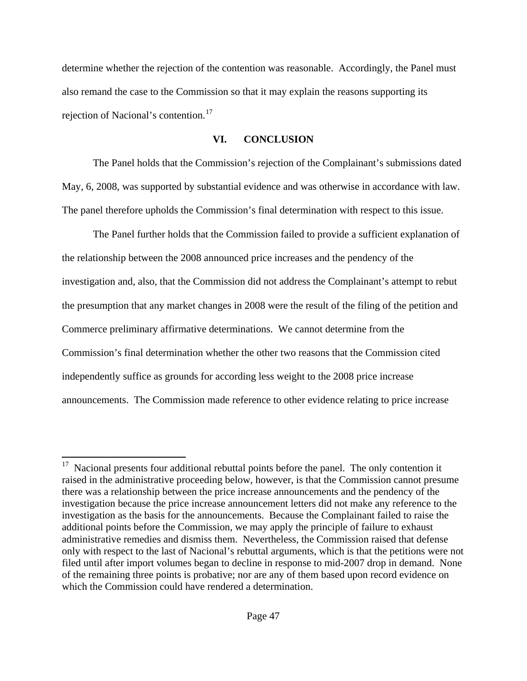determine whether the rejection of the contention was reasonable. Accordingly, the Panel must also remand the case to the Commission so that it may explain the reasons supporting its rejection of Nacional's contention.<sup>[17](#page-46-0)</sup>

## **VI. CONCLUSION**

The Panel holds that the Commission's rejection of the Complainant's submissions dated May, 6, 2008, was supported by substantial evidence and was otherwise in accordance with law. The panel therefore upholds the Commission's final determination with respect to this issue.

 The Panel further holds that the Commission failed to provide a sufficient explanation of the relationship between the 2008 announced price increases and the pendency of the investigation and, also, that the Commission did not address the Complainant's attempt to rebut the presumption that any market changes in 2008 were the result of the filing of the petition and Commerce preliminary affirmative determinations. We cannot determine from the Commission's final determination whether the other two reasons that the Commission cited independently suffice as grounds for according less weight to the 2008 price increase announcements. The Commission made reference to other evidence relating to price increase

<span id="page-46-0"></span> $17$  Nacional presents four additional rebuttal points before the panel. The only contention it raised in the administrative proceeding below, however, is that the Commission cannot presume there was a relationship between the price increase announcements and the pendency of the investigation because the price increase announcement letters did not make any reference to the investigation as the basis for the announcements. Because the Complainant failed to raise the additional points before the Commission, we may apply the principle of failure to exhaust administrative remedies and dismiss them. Nevertheless, the Commission raised that defense only with respect to the last of Nacional's rebuttal arguments, which is that the petitions were not filed until after import volumes began to decline in response to mid-2007 drop in demand. None of the remaining three points is probative; nor are any of them based upon record evidence on which the Commission could have rendered a determination.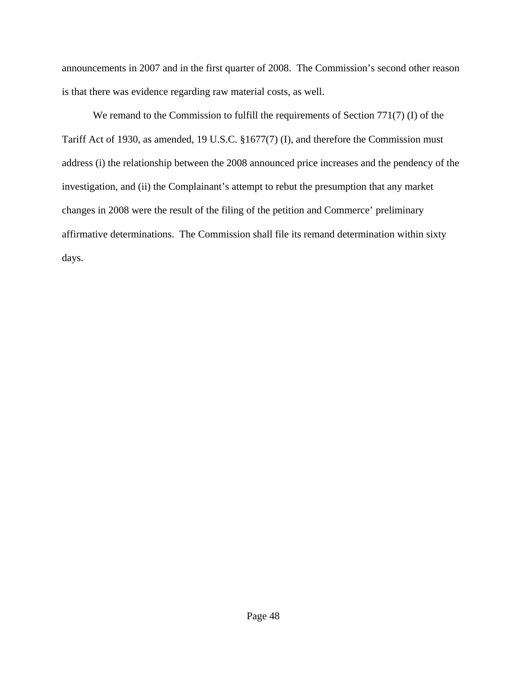announcements in 2007 and in the first quarter of 2008. The Commission's second other reason is that there was evidence regarding raw material costs, as well.

We remand to the Commission to fulfill the requirements of Section 771(7) (I) of the Tariff Act of 1930, as amended, 19 U.S.C. §1677(7) (I), and therefore the Commission must address (i) the relationship between the 2008 announced price increases and the pendency of the investigation, and (ii) the Complainant's attempt to rebut the presumption that any market changes in 2008 were the result of the filing of the petition and Commerce' preliminary affirmative determinations. The Commission shall file its remand determination within sixty days.